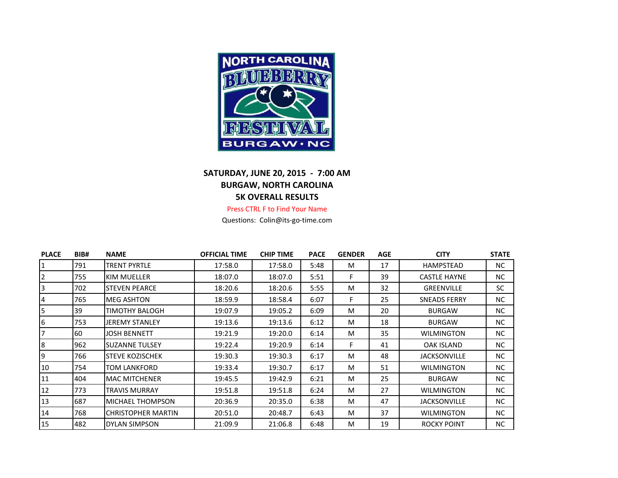

## **SATURDAY, JUNE 20, 2015 - 7:00 AM BURGAW, NORTH CAROLINA 5K OVERALL RESULTS**

## Press CTRL F to Find Your Name

Questions: Colin@its-go-time.com

| <b>PLACE</b> | BIB# | <b>NAME</b>             | <b>OFFICIAL TIME</b> | <b>CHIP TIME</b> | <b>PACE</b> | <b>GENDER</b> | <b>AGE</b> | <b>CITY</b>         | <b>STATE</b> |
|--------------|------|-------------------------|----------------------|------------------|-------------|---------------|------------|---------------------|--------------|
|              | 791  | <b>TRENT PYRTLE</b>     | 17:58.0              | 17:58.0          | 5:48        | M             | 17         | HAMPSTEAD           | NC           |
| 2            | 755  | <b>KIM MUELLER</b>      | 18:07.0              | 18:07.0          | 5:51        | F.            | 39         | <b>CASTLE HAYNE</b> | NC.          |
| 3            | 702  | <b>STEVEN PEARCE</b>    | 18:20.6              | 18:20.6          | 5:55        | M             | 32         | <b>GREENVILLE</b>   | SC.          |
| 4            | 765  | <b>MEG ASHTON</b>       | 18:59.9              | 18:58.4          | 6:07        | F             | 25         | <b>SNEADS FERRY</b> | NC.          |
| 5            | 39   | TIMOTHY BALOGH          | 19:07.9              | 19:05.2          | 6:09        | M             | 20         | <b>BURGAW</b>       | NC           |
| 6            | 753  | <b>JEREMY STANLEY</b>   | 19:13.6              | 19:13.6          | 6:12        | M             | 18         | <b>BURGAW</b>       | NC.          |
|              | 60   | JOSH BENNETT            | 19:21.9              | 19:20.0          | 6:14        | M             | 35         | <b>WILMINGTON</b>   | NC.          |
| 8            | 962  | <b>SUZANNE TULSEY</b>   | 19:22.4              | 19:20.9          | 6:14        | F.            | 41         | OAK ISLAND          | NC           |
| 9            | 766  | <b>STEVE KOZISCHEK</b>  | 19:30.3              | 19:30.3          | 6:17        | M             | 48         | <b>JACKSONVILLE</b> | NC.          |
| 10           | 754  | TOM LANKFORD            | 19:33.4              | 19:30.7          | 6:17        | M             | 51         | <b>WILMINGTON</b>   | NC.          |
| 11           | 404  | <b>MAC MITCHENER</b>    | 19:45.5              | 19:42.9          | 6:21        | M             | 25         | <b>BURGAW</b>       | NC.          |
| 12           | 773  | <b>TRAVIS MURRAY</b>    | 19:51.8              | 19:51.8          | 6:24        | M             | 27         | <b>WILMINGTON</b>   | NC.          |
| 13           | 687  | <b>MICHAEL THOMPSON</b> | 20:36.9              | 20:35.0          | 6:38        | M             | 47         | <b>JACKSONVILLE</b> | NC.          |
| 14           | 768  | ICHRISTOPHER MARTIN     | 20:51.0              | 20:48.7          | 6:43        | M             | 37         | <b>WILMINGTON</b>   | NC.          |
| 15           | 482  | <b>DYLAN SIMPSON</b>    | 21:09.9              | 21:06.8          | 6:48        | M             | 19         | <b>ROCKY POINT</b>  | NC.          |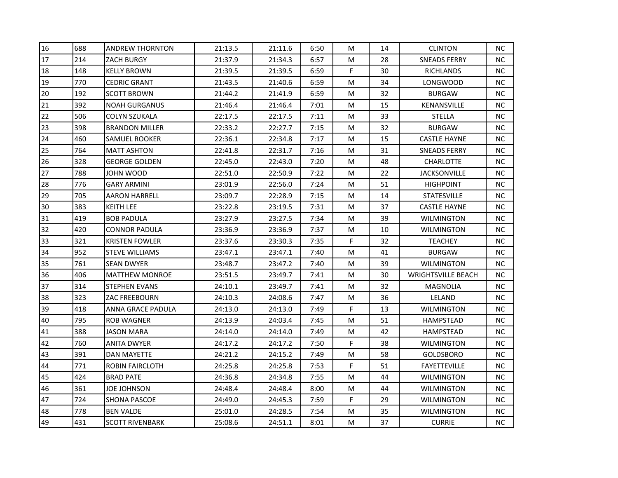| 16 | 688 | <b>ANDREW THORNTON</b>   | 21:13.5 | 21:11.6 | 6:50 | М  | 14 | <b>CLINTON</b>            | NC.       |
|----|-----|--------------------------|---------|---------|------|----|----|---------------------------|-----------|
| 17 | 214 | <b>ZACH BURGY</b>        | 21:37.9 | 21:34.3 | 6:57 | M  | 28 | <b>SNEADS FERRY</b>       | NC.       |
| 18 | 148 | <b>KELLY BROWN</b>       | 21:39.5 | 21:39.5 | 6:59 | F. | 30 | <b>RICHLANDS</b>          | NC.       |
| 19 | 770 | <b>CEDRIC GRANT</b>      | 21:43.5 | 21:40.6 | 6:59 | M  | 34 | LONGWOOD                  | NC.       |
| 20 | 192 | <b>SCOTT BROWN</b>       | 21:44.2 | 21:41.9 | 6:59 | M  | 32 | <b>BURGAW</b>             | NC.       |
| 21 | 392 | <b>NOAH GURGANUS</b>     | 21:46.4 | 21:46.4 | 7:01 | M  | 15 | KENANSVILLE               | NC.       |
| 22 | 506 | <b>COLYN SZUKALA</b>     | 22:17.5 | 22:17.5 | 7:11 | M  | 33 | <b>STELLA</b>             | NC.       |
| 23 | 398 | <b>BRANDON MILLER</b>    | 22:33.2 | 22:27.7 | 7:15 | M  | 32 | <b>BURGAW</b>             | NC.       |
| 24 | 460 | <b>SAMUEL ROOKER</b>     | 22:36.1 | 22:34.8 | 7:17 | M  | 15 | <b>CASTLE HAYNE</b>       | NC.       |
| 25 | 764 | <b>MATT ASHTON</b>       | 22:41.8 | 22:31.7 | 7:16 | M  | 31 | <b>SNEADS FERRY</b>       | NC.       |
| 26 | 328 | <b>GEORGE GOLDEN</b>     | 22:45.0 | 22:43.0 | 7:20 | M  | 48 | <b>CHARLOTTE</b>          | NC.       |
| 27 | 788 | JOHN WOOD                | 22:51.0 | 22:50.9 | 7:22 | M  | 22 | <b>JACKSONVILLE</b>       | NC.       |
| 28 | 776 | <b>GARY ARMINI</b>       | 23:01.9 | 22:56.0 | 7:24 | M  | 51 | <b>HIGHPOINT</b>          | NC.       |
| 29 | 705 | <b>AARON HARRELL</b>     | 23:09.7 | 22:28.9 | 7:15 | М  | 14 | <b>STATESVILLE</b>        | NC.       |
| 30 | 383 | KEITH LEE                | 23:22.8 | 23:19.5 | 7:31 | M  | 37 | <b>CASTLE HAYNE</b>       | NC.       |
| 31 | 419 | <b>BOB PADULA</b>        | 23:27.9 | 23:27.5 | 7:34 | M  | 39 | WILMINGTON                | NC.       |
| 32 | 420 | CONNOR PADULA            | 23:36.9 | 23:36.9 | 7:37 | M  | 10 | WILMINGTON                | NC.       |
| 33 | 321 | <b>KRISTEN FOWLER</b>    | 23:37.6 | 23:30.3 | 7:35 | F  | 32 | <b>TEACHEY</b>            | <b>NC</b> |
| 34 | 952 | <b>STEVE WILLIAMS</b>    | 23:47.1 | 23:47.1 | 7:40 | М  | 41 | <b>BURGAW</b>             | NC.       |
| 35 | 761 | <b>SEAN DWYER</b>        | 23:48.7 | 23:47.2 | 7:40 | М  | 39 | WILMINGTON                | NC.       |
| 36 | 406 | <b>MATTHEW MONROE</b>    | 23:51.5 | 23:49.7 | 7:41 | M  | 30 | <b>WRIGHTSVILLE BEACH</b> | NC.       |
| 37 | 314 | <b>STEPHEN EVANS</b>     | 24:10.1 | 23:49.7 | 7:41 | M  | 32 | MAGNOLIA                  | NC.       |
| 38 | 323 | <b>ZAC FREEBOURN</b>     | 24:10.3 | 24:08.6 | 7:47 | M  | 36 | LELAND                    | <b>NC</b> |
| 39 | 418 | <b>ANNA GRACE PADULA</b> | 24:13.0 | 24:13.0 | 7:49 | F. | 13 | WILMINGTON                | NC.       |
| 40 | 795 | <b>ROB WAGNER</b>        | 24:13.9 | 24:03.4 | 7:45 | M  | 51 | HAMPSTEAD                 | NC.       |
| 41 | 388 | <b>JASON MARA</b>        | 24:14.0 | 24:14.0 | 7:49 | M  | 42 | HAMPSTEAD                 | NC.       |
| 42 | 760 | <b>ANITA DWYER</b>       | 24:17.2 | 24:17.2 | 7:50 | F  | 38 | WILMINGTON                | NC.       |
| 43 | 391 | <b>DAN MAYETTE</b>       | 24:21.2 | 24:15.2 | 7:49 | M  | 58 | GOLDSBORO                 | NC.       |
| 44 | 771 | <b>ROBIN FAIRCLOTH</b>   | 24:25.8 | 24:25.8 | 7:53 | F  | 51 | <b>FAYETTEVILLE</b>       | NC.       |
| 45 | 424 | <b>BRAD PATE</b>         | 24:36.8 | 24:34.8 | 7:55 | M  | 44 | WILMINGTON                | NC.       |
| 46 | 361 | <b>JOE JOHNSON</b>       | 24:48.4 | 24:48.4 | 8:00 | M  | 44 | <b>WILMINGTON</b>         | NC.       |
| 47 | 724 | <b>SHONA PASCOE</b>      | 24:49.0 | 24:45.3 | 7:59 | F  | 29 | <b>WILMINGTON</b>         | NC.       |
| 48 | 778 | <b>BEN VALDE</b>         | 25:01.0 | 24:28.5 | 7:54 | M  | 35 | <b>WILMINGTON</b>         | NC.       |
| 49 | 431 | <b>SCOTT RIVENBARK</b>   | 25:08.6 | 24:51.1 | 8:01 | М  | 37 | <b>CURRIE</b>             | NC.       |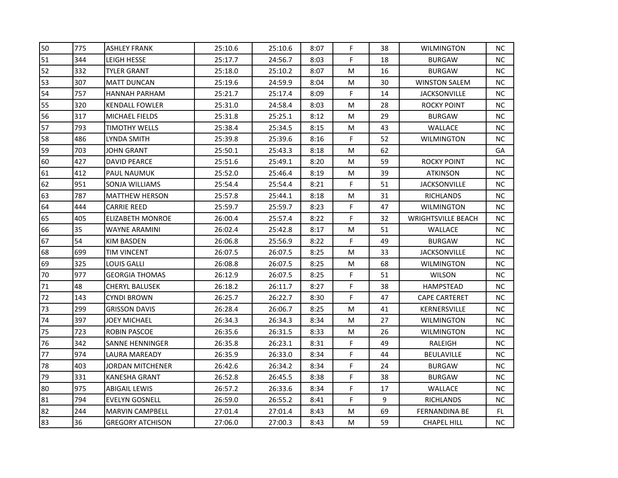| 50 | 775 | <b>ASHLEY FRANK</b>     | 25:10.6 | 25:10.6 | 8:07 | F           | 38 | <b>WILMINGTON</b>         | NC. |
|----|-----|-------------------------|---------|---------|------|-------------|----|---------------------------|-----|
| 51 | 344 | <b>LEIGH HESSE</b>      | 25:17.7 | 24:56.7 | 8:03 | F           | 18 | <b>BURGAW</b>             | NC. |
| 52 | 332 | <b>TYLER GRANT</b>      | 25:18.0 | 25:10.2 | 8:07 | M           | 16 | <b>BURGAW</b>             | NC. |
| 53 | 307 | <b>MATT DUNCAN</b>      | 25:19.6 | 24:59.9 | 8:04 | M           | 30 | <b>WINSTON SALEM</b>      | NC. |
| 54 | 757 | HANNAH PARHAM           | 25:21.7 | 25:17.4 | 8:09 | F           | 14 | <b>JACKSONVILLE</b>       | NC. |
| 55 | 320 | <b>KENDALL FOWLER</b>   | 25:31.0 | 24:58.4 | 8:03 | M           | 28 | <b>ROCKY POINT</b>        | NC. |
| 56 | 317 | <b>MICHAEL FIELDS</b>   | 25:31.8 | 25:25.1 | 8:12 | M           | 29 | <b>BURGAW</b>             | NC. |
| 57 | 793 | <b>TIMOTHY WELLS</b>    | 25:38.4 | 25:34.5 | 8:15 | M           | 43 | WALLACE                   | NC. |
| 58 | 486 | LYNDA SMITH             | 25:39.8 | 25:39.6 | 8:16 | F           | 52 | <b>WILMINGTON</b>         | NC. |
| 59 | 703 | JOHN GRANT              | 25:50.1 | 25:43.3 | 8:18 | M           | 62 |                           | GA  |
| 60 | 427 | DAVID PEARCE            | 25:51.6 | 25:49.1 | 8:20 | М           | 59 | <b>ROCKY POINT</b>        | NC. |
| 61 | 412 | PAUL NAUMUK             | 25:52.0 | 25:46.4 | 8:19 | M           | 39 | <b>ATKINSON</b>           | NC. |
| 62 | 951 | SONJA WILLIAMS          | 25:54.4 | 25:54.4 | 8:21 | F.          | 51 | <b>JACKSONVILLE</b>       | NC. |
| 63 | 787 | <b>MATTHEW HERSON</b>   | 25:57.8 | 25:44.1 | 8:18 | М           | 31 | <b>RICHLANDS</b>          | NC. |
| 64 | 444 | <b>CARRIE REED</b>      | 25:59.7 | 25:59.7 | 8:23 | F           | 47 | <b>WILMINGTON</b>         | NC. |
| 65 | 405 | ELIZABETH MONROE        | 26:00.4 | 25:57.4 | 8:22 | F           | 32 | <b>WRIGHTSVILLE BEACH</b> | NC. |
| 66 | 35  | WAYNE ARAMINI           | 26:02.4 | 25:42.8 | 8:17 | M           | 51 | WALLACE                   | NC. |
| 67 | 54  | <b>KIM BASDEN</b>       | 26:06.8 | 25:56.9 | 8:22 | F           | 49 | <b>BURGAW</b>             | NC  |
| 68 | 699 | TIM VINCENT             | 26:07.5 | 26:07.5 | 8:25 | М           | 33 | <b>JACKSONVILLE</b>       | NC. |
| 69 | 325 | LOUIS GALLI             | 26:08.8 | 26:07.5 | 8:25 | M           | 68 | <b>WILMINGTON</b>         | NC. |
| 70 | 977 | <b>GEORGIA THOMAS</b>   | 26:12.9 | 26:07.5 | 8:25 | F           | 51 | <b>WILSON</b>             | NC. |
| 71 | 48  | <b>CHERYL BALUSEK</b>   | 26:18.2 | 26:11.7 | 8:27 | F           | 38 | HAMPSTEAD                 | NC. |
| 72 | 143 | <b>CYNDI BROWN</b>      | 26:25.7 | 26:22.7 | 8:30 | F           | 47 | <b>CAPE CARTERET</b>      | NC. |
| 73 | 299 | <b>GRISSON DAVIS</b>    | 26:28.4 | 26:06.7 | 8:25 | M           | 41 | KERNERSVILLE              | NC. |
| 74 | 397 | JOEY MICHAEL            | 26:34.3 | 26:34.3 | 8:34 | М           | 27 | <b>WILMINGTON</b>         | NC. |
| 75 | 723 | ROBIN PASCOE            | 26:35.6 | 26:31.5 | 8:33 | M           | 26 | WILMINGTON                | NC. |
| 76 | 342 | SANNE HENNINGER         | 26:35.8 | 26:23.1 | 8:31 | F           | 49 | RALEIGH                   | NC. |
| 77 | 974 | LAURA MAREADY           | 26:35.9 | 26:33.0 | 8:34 | F           | 44 | BEULAVILLE                | NC. |
| 78 | 403 | <b>JORDAN MITCHENER</b> | 26:42.6 | 26:34.2 | 8:34 | F           | 24 | <b>BURGAW</b>             | NC. |
| 79 | 331 | <b>KANESHA GRANT</b>    | 26:52.8 | 26:45.5 | 8:38 | F           | 38 | <b>BURGAW</b>             | NC. |
| 80 | 975 | ABIGAIL LEWIS           | 26:57.2 | 26:33.6 | 8:34 | $\mathsf F$ | 17 | WALLACE                   | NC. |
| 81 | 794 | <b>EVELYN GOSNELL</b>   | 26:59.0 | 26:55.2 | 8:41 | F           | 9  | <b>RICHLANDS</b>          | NC. |
| 82 | 244 | <b>MARVIN CAMPBELL</b>  | 27:01.4 | 27:01.4 | 8:43 | М           | 69 | <b>FERNANDINA BE</b>      | FL. |
| 83 | 36  | <b>GREGORY ATCHISON</b> | 27:06.0 | 27:00.3 | 8:43 | М           | 59 | <b>CHAPEL HILL</b>        | NC. |
|    |     |                         |         |         |      |             |    |                           |     |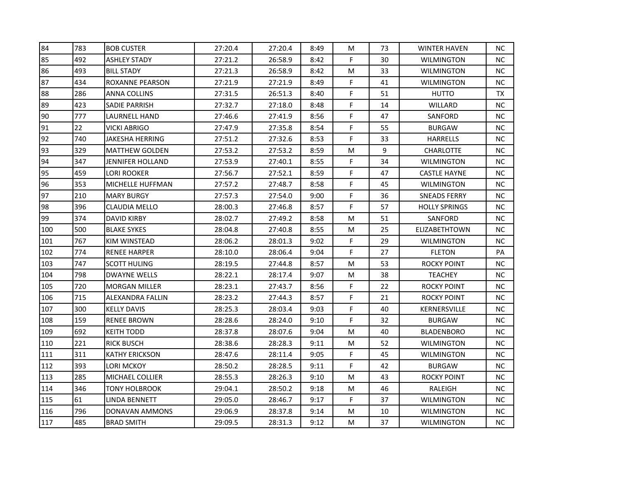| 84  | 783 | <b>BOB CUSTER</b>       | 27:20.4 | 27:20.4 | 8:49 | М           | 73 | <b>WINTER HAVEN</b>  | NC.       |
|-----|-----|-------------------------|---------|---------|------|-------------|----|----------------------|-----------|
| 85  | 492 | <b>ASHLEY STADY</b>     | 27:21.2 | 26:58.9 | 8:42 | F.          | 30 | <b>WILMINGTON</b>    | NC.       |
| 86  | 493 | <b>BILL STADY</b>       | 27:21.3 | 26:58.9 | 8:42 | M           | 33 | <b>WILMINGTON</b>    | NC.       |
| 87  | 434 | <b>ROXANNE PEARSON</b>  | 27:21.9 | 27:21.9 | 8:49 | F           | 41 | WILMINGTON           | NC.       |
| 88  | 286 | ANNA COLLINS            | 27:31.5 | 26:51.3 | 8:40 | $\mathsf F$ | 51 | <b>HUTTO</b>         | TX        |
| 89  | 423 | <b>SADIE PARRISH</b>    | 27:32.7 | 27:18.0 | 8:48 | F           | 14 | WILLARD              | NC.       |
| 90  | 777 | <b>LAURNELL HAND</b>    | 27:46.6 | 27:41.9 | 8:56 | F           | 47 | SANFORD              | NC.       |
| 91  | 22  | <b>VICKI ABRIGO</b>     | 27:47.9 | 27:35.8 | 8:54 | $\mathsf F$ | 55 | <b>BURGAW</b>        | NC.       |
| 92  | 740 | <b>JAKESHA HERRING</b>  | 27:51.2 | 27:32.6 | 8:53 | F           | 33 | <b>HARRELLS</b>      | NC.       |
| 93  | 329 | <b>MATTHEW GOLDEN</b>   | 27:53.2 | 27:53.2 | 8:59 | M           | 9  | CHARLOTTE            | NC.       |
| 94  | 347 | JENNIFER HOLLAND        | 27:53.9 | 27:40.1 | 8:55 | F           | 34 | WILMINGTON           | NC.       |
| 95  | 459 | <b>LORI ROOKER</b>      | 27:56.7 | 27:52.1 | 8:59 | F           | 47 | <b>CASTLE HAYNE</b>  | NC.       |
| 96  | 353 | MICHELLE HUFFMAN        | 27:57.2 | 27:48.7 | 8:58 | F           | 45 | <b>WILMINGTON</b>    | NC.       |
| 97  | 210 | <b>MARY BURGY</b>       | 27:57.3 | 27:54.0 | 9:00 | F           | 36 | SNEADS FERRY         | NC.       |
| 98  | 396 | <b>CLAUDIA MELLO</b>    | 28:00.3 | 27:46.8 | 8:57 | F           | 57 | <b>HOLLY SPRINGS</b> | NC.       |
| 99  | 374 | DAVID KIRBY             | 28:02.7 | 27:49.2 | 8:58 | М           | 51 | SANFORD              | NC.       |
| 100 | 500 | <b>BLAKE SYKES</b>      | 28:04.8 | 27:40.8 | 8:55 | M           | 25 | <b>ELIZABETHTOWN</b> | NC.       |
| 101 | 767 | <b>KIM WINSTEAD</b>     | 28:06.2 | 28:01.3 | 9:02 | F           | 29 | <b>WILMINGTON</b>    | NC        |
| 102 | 774 | <b>RENEE HARPER</b>     | 28:10.0 | 28:06.4 | 9:04 | F           | 27 | <b>FLETON</b>        | PA        |
| 103 | 747 | <b>SCOTT HULING</b>     | 28:19.5 | 27:44.8 | 8:57 | M           | 53 | ROCKY POINT          | NC.       |
| 104 | 798 | <b>DWAYNE WELLS</b>     | 28:22.1 | 28:17.4 | 9:07 | М           | 38 | <b>TEACHEY</b>       | NC.       |
| 105 | 720 | <b>MORGAN MILLER</b>    | 28:23.1 | 27:43.7 | 8:56 | F           | 22 | <b>ROCKY POINT</b>   | NC.       |
| 106 | 715 | <b>ALEXANDRA FALLIN</b> | 28:23.2 | 27:44.3 | 8:57 | F           | 21 | <b>ROCKY POINT</b>   | <b>NC</b> |
| 107 | 300 | <b>KELLY DAVIS</b>      | 28:25.3 | 28:03.4 | 9:03 | F           | 40 | KERNERSVILLE         | NC.       |
| 108 | 159 | <b>RENEE BROWN</b>      | 28:28.6 | 28:24.0 | 9:10 | F           | 32 | <b>BURGAW</b>        | NC.       |
| 109 | 692 | <b>KEITH TODD</b>       | 28:37.8 | 28:07.6 | 9:04 | M           | 40 | BLADENBORO           | NC.       |
| 110 | 221 | <b>RICK BUSCH</b>       | 28:38.6 | 28:28.3 | 9:11 | M           | 52 | WILMINGTON           | NC.       |
| 111 | 311 | <b>KATHY ERICKSON</b>   | 28:47.6 | 28:11.4 | 9:05 | F           | 45 | <b>WILMINGTON</b>    | NC.       |
| 112 | 393 | LORI MCKOY              | 28:50.2 | 28:28.5 | 9:11 | F           | 42 | <b>BURGAW</b>        | NC.       |
| 113 | 285 | <b>MICHAEL COLLIER</b>  | 28:55.3 | 28:26.3 | 9:10 | M           | 43 | <b>ROCKY POINT</b>   | NC.       |
| 114 | 346 | TONY HOLBROOK           | 29:04.1 | 28:50.2 | 9:18 | M           | 46 | RALEIGH              | NC.       |
| 115 | 61  | LINDA BENNETT           | 29:05.0 | 28:46.7 | 9:17 | F           | 37 | <b>WILMINGTON</b>    | NC.       |
| 116 | 796 | DONAVAN AMMONS          | 29:06.9 | 28:37.8 | 9:14 | M           | 10 | <b>WILMINGTON</b>    | NC.       |
| 117 | 485 | <b>BRAD SMITH</b>       | 29:09.5 | 28:31.3 | 9:12 | M           | 37 | <b>WILMINGTON</b>    | NC.       |
|     |     |                         |         |         |      |             |    |                      |           |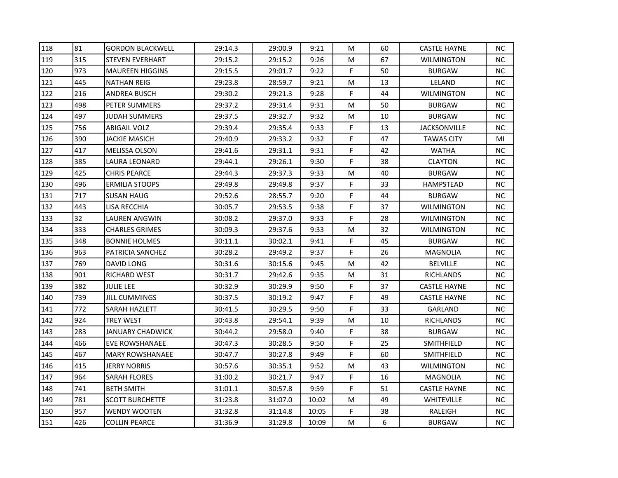| 118 | 81  | <b>GORDON BLACKWELL</b> | 29:14.3 | 29:00.9 | 9:21  | M  | 60 | <b>CASTLE HAYNE</b> | NC.       |
|-----|-----|-------------------------|---------|---------|-------|----|----|---------------------|-----------|
| 119 | 315 | <b>STEVEN EVERHART</b>  | 29:15.2 | 29:15.2 | 9:26  | M  | 67 | <b>WILMINGTON</b>   | NC.       |
| 120 | 973 | MAUREEN HIGGINS         | 29:15.5 | 29:01.7 | 9:22  | F. | 50 | <b>BURGAW</b>       | NC.       |
| 121 | 445 | <b>NATHAN REIG</b>      | 29:23.8 | 28:59.7 | 9:21  | M  | 13 | LELAND              | NC.       |
| 122 | 216 | ANDREA BUSCH            | 29:30.2 | 29:21.3 | 9:28  | F  | 44 | <b>WILMINGTON</b>   | NC.       |
| 123 | 498 | PETER SUMMERS           | 29:37.2 | 29:31.4 | 9:31  | M  | 50 | <b>BURGAW</b>       | NC.       |
| 124 | 497 | <b>JUDAH SUMMERS</b>    | 29:37.5 | 29:32.7 | 9:32  | M  | 10 | <b>BURGAW</b>       | NC.       |
| 125 | 756 | <b>ABIGAIL VOLZ</b>     | 29:39.4 | 29:35.4 | 9:33  | F  | 13 | <b>JACKSONVILLE</b> | NC.       |
| 126 | 390 | <b>JACKIE MASICH</b>    | 29:40.9 | 29:33.2 | 9:32  | F  | 47 | <b>TAWAS CITY</b>   | MI        |
| 127 | 417 | <b>MELISSA OLSON</b>    | 29:41.6 | 29:31.1 | 9:31  | F  | 42 | <b>WATHA</b>        | NC.       |
| 128 | 385 | LAURA LEONARD           | 29:44.1 | 29:26.1 | 9:30  | F  | 38 | <b>CLAYTON</b>      | NC.       |
| 129 | 425 | <b>CHRIS PEARCE</b>     | 29:44.3 | 29:37.3 | 9:33  | M  | 40 | <b>BURGAW</b>       | NC.       |
| 130 | 496 | <b>ERMILIA STOOPS</b>   | 29:49.8 | 29:49.8 | 9:37  | F  | 33 | HAMPSTEAD           | NC.       |
| 131 | 717 | <b>SUSAN HAUG</b>       | 29:52.6 | 28:55.7 | 9:20  | F  | 44 | <b>BURGAW</b>       | NC.       |
| 132 | 443 | LISA RECCHIA            | 30:05.7 | 29:53.5 | 9:38  | F  | 37 | <b>WILMINGTON</b>   | NC.       |
| 133 | 32  | LAUREN ANGWIN           | 30:08.2 | 29:37.0 | 9:33  | F  | 28 | WILMINGTON          | NC.       |
| 134 | 333 | <b>CHARLES GRIMES</b>   | 30:09.3 | 29:37.6 | 9:33  | M  | 32 | <b>WILMINGTON</b>   | NC.       |
| 135 | 348 | <b>BONNIE HOLMES</b>    | 30:11.1 | 30:02.1 | 9:41  | F  | 45 | <b>BURGAW</b>       | NC        |
| 136 | 963 | <b>PATRICIA SANCHEZ</b> | 30:28.2 | 29:49.2 | 9:37  | F  | 26 | MAGNOLIA            | NC.       |
| 137 | 769 | DAVID LONG              | 30:31.6 | 30:15.6 | 9:45  | M  | 42 | <b>BELVILLE</b>     | <b>NC</b> |
| 138 | 901 | RICHARD WEST            | 30:31.7 | 29:42.6 | 9:35  | M  | 31 | <b>RICHLANDS</b>    | NC.       |
| 139 | 382 | <b>JULIE LEE</b>        | 30:32.9 | 30:29.9 | 9:50  | F  | 37 | <b>CASTLE HAYNE</b> | NC.       |
| 140 | 739 | JILL CUMMINGS           | 30:37.5 | 30:19.2 | 9:47  | F  | 49 | <b>CASTLE HAYNE</b> | <b>NC</b> |
| 141 | 772 | <b>SARAH HAZLETT</b>    | 30:41.5 | 30:29.5 | 9:50  | F  | 33 | GARLAND             | <b>NC</b> |
| 142 | 924 | <b>TREY WEST</b>        | 30:43.8 | 29:54.1 | 9:39  | M  | 10 | RICHLANDS           | NC.       |
| 143 | 283 | <b>JANUARY CHADWICK</b> | 30:44.2 | 29:58.0 | 9:40  | F  | 38 | <b>BURGAW</b>       | NC.       |
| 144 | 466 | EVE ROWSHANAEE          | 30:47.3 | 30:28.5 | 9:50  | F  | 25 | <b>SMITHFIELD</b>   | NC.       |
| 145 | 467 | <b>MARY ROWSHANAEE</b>  | 30:47.7 | 30:27.8 | 9:49  | F  | 60 | <b>SMITHFIELD</b>   | NC.       |
| 146 | 415 | <b>JERRY NORRIS</b>     | 30:57.6 | 30:35.1 | 9:52  | M  | 43 | WILMINGTON          | NC.       |
| 147 | 964 | <b>SARAH FLORES</b>     | 31:00.2 | 30:21.7 | 9:47  | F  | 16 | MAGNOLIA            | NC.       |
| 148 | 741 | <b>BETH SMITH</b>       | 31:01.1 | 30:57.8 | 9:59  | F  | 51 | <b>CASTLE HAYNE</b> | NC.       |
| 149 | 781 | <b>SCOTT BURCHETTE</b>  | 31:23.8 | 31:07.0 | 10:02 | M  | 49 | <b>WHITEVILLE</b>   | NC.       |
| 150 | 957 | <b>WENDY WOOTEN</b>     | 31:32.8 | 31:14.8 | 10:05 | F  | 38 | RALEIGH             | NC        |
| 151 | 426 | <b>COLLIN PEARCE</b>    | 31:36.9 | 31:29.8 | 10:09 | М  | 6  | <b>BURGAW</b>       | NC.       |
|     |     |                         |         |         |       |    |    |                     |           |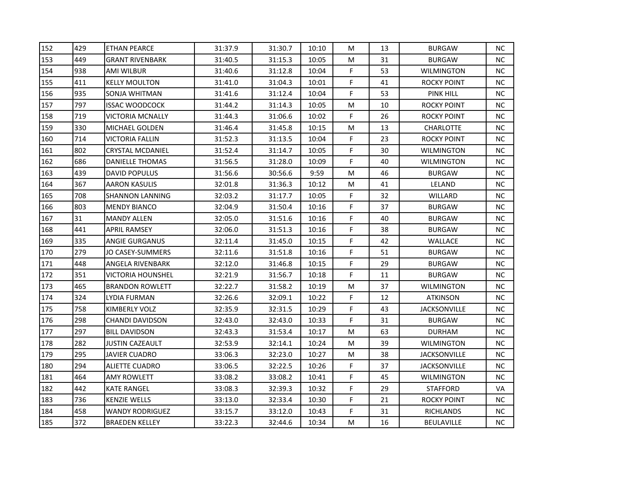| 152<br>429<br><b>ETHAN PEARCE</b><br>31:37.9<br>31:30.7<br>10:10<br>M<br>13<br>449<br>153<br>31:40.5<br>31:15.3<br>10:05<br>31<br><b>GRANT RIVENBARK</b><br>M<br>154<br>F<br>938<br>53<br>31:40.6<br>31:12.8<br>10:04<br>AMI WILBUR<br>F<br>155<br>411<br>31:41.0<br>31:04.3<br>10:01<br>41<br><b>KELLY MOULTON</b><br>F.<br>156<br>935<br>53<br>31:41.6<br>31:12.4<br>10:04<br>SONJA WHITMAN<br>157<br>797<br>31:44.2<br>31:14.3<br>10<br><b>ISSAC WOODCOCK</b><br>10:05<br>M<br>719<br>F.<br>158<br>31:44.3<br>31:06.6<br>VICTORIA MCNALLY<br>10:02<br>26<br>159<br>330<br>31:45.8<br>M<br>13<br><b>MICHAEL GOLDEN</b><br>31:46.4<br>10:15<br>160<br>714<br>F<br>31:52.3<br>31:13.5<br>10:04<br>23<br><b>VICTORIA FALLIN</b><br>802<br>F<br>31:52.4<br>31:14.7<br>30<br>161<br><b>CRYSTAL MCDANIEL</b><br>10:05<br>F<br>162<br>686<br><b>DANIELLE THOMAS</b><br>31:56.5<br>31:28.0<br>10:09<br>40<br>163<br>439<br><b>DAVID POPULUS</b><br>31:56.6<br>30:56.6<br>9:59<br>M<br>46<br>164<br>367<br>32:01.8<br>M<br>41<br><b>AARON KASULIS</b><br>31:36.3<br>10:12<br>165<br>708<br>F<br>32:03.2<br>31:17.7<br>10:05<br>32<br><b>SHANNON LANNING</b><br>F.<br>803<br>166<br>32:04.9<br>31:50.4<br>37<br><b>MENDY BIANCO</b><br>10:16<br>F<br>167<br>31<br>32:05.0<br>31:51.6<br>40<br><b>MANDY ALLEN</b><br>10:16<br>F<br>168<br>441<br>32:06.0<br>31:51.3<br>10:16<br>38<br><b>APRIL RAMSEY</b><br>335<br>F<br>169<br>32:11.4<br>31:45.0<br>10:15<br>42<br><b>ANGIE GURGANUS</b><br>F<br>170<br>279<br>JO CASEY-SUMMERS<br>32:11.6<br>31:51.8<br>10:16<br>51<br>171<br>448<br>F<br>31:46.8<br>10:15<br>29<br><b>ANGELA RIVENBARK</b><br>32:12.0<br>F<br>351<br>172<br>31:56.7<br>VICTORIA HOUNSHEL<br>32:21.9<br>10:18<br>11<br>173<br>465<br>31:58.2<br><b>BRANDON ROWLETT</b><br>32:22.7<br>10:19<br>M<br>37<br>F.<br>324<br>174<br>LYDIA FURMAN<br>32:26.6<br>32:09.1<br>10:22<br>12<br>F.<br>175<br>758<br><b>KIMBERLY VOLZ</b><br>32:35.9<br>32:31.5<br>10:29<br>43<br>F<br>176<br>298<br>10:33<br>31<br><b>CHANDI DAVIDSON</b><br>32:43.0<br>32:43.0<br>177<br>297<br>31:53.4<br><b>BILL DAVIDSON</b><br>32:43.3<br>10:17<br>M<br>63<br>178<br>282<br><b>JUSTIN CAZEAULT</b><br>32:53.9<br>32:14.1<br>10:24<br>M<br>39<br>295<br>179<br><b>JAVIER CUADRO</b><br>33:06.3<br>32:23.0<br>10:27<br>M<br>38<br>F.<br>180<br>294<br>37<br><b>ALIETTE CUADRO</b><br>33:06.5<br>32:22.5<br>10:26<br>F<br>464<br>45<br>181<br><b>AMY ROWLETT</b><br>33:08.2<br>33:08.2<br>10:41<br>F<br>182<br>442<br>29<br>33:08.3<br>32:39.3<br>10:32<br><b>KATE RANGEL</b><br>183<br>736<br>F<br><b>KENZIE WELLS</b><br>33:13.0<br>32:33.4<br>10:30<br>21<br>F<br>184<br>458<br><b>WANDY RODRIGUEZ</b><br>33:15.7<br>33:12.0<br>10:43<br>31 |  |  |  |  |                     |           |
|------------------------------------------------------------------------------------------------------------------------------------------------------------------------------------------------------------------------------------------------------------------------------------------------------------------------------------------------------------------------------------------------------------------------------------------------------------------------------------------------------------------------------------------------------------------------------------------------------------------------------------------------------------------------------------------------------------------------------------------------------------------------------------------------------------------------------------------------------------------------------------------------------------------------------------------------------------------------------------------------------------------------------------------------------------------------------------------------------------------------------------------------------------------------------------------------------------------------------------------------------------------------------------------------------------------------------------------------------------------------------------------------------------------------------------------------------------------------------------------------------------------------------------------------------------------------------------------------------------------------------------------------------------------------------------------------------------------------------------------------------------------------------------------------------------------------------------------------------------------------------------------------------------------------------------------------------------------------------------------------------------------------------------------------------------------------------------------------------------------------------------------------------------------------------------------------------------------------------------------------------------------------------------------------------------------------------------------------------------------------------------------------------------------------------------------------------------------------------------------------------------------------------------------------------------------------------------------------------------------------------------------------------------------------------------------------------------------------------|--|--|--|--|---------------------|-----------|
|                                                                                                                                                                                                                                                                                                                                                                                                                                                                                                                                                                                                                                                                                                                                                                                                                                                                                                                                                                                                                                                                                                                                                                                                                                                                                                                                                                                                                                                                                                                                                                                                                                                                                                                                                                                                                                                                                                                                                                                                                                                                                                                                                                                                                                                                                                                                                                                                                                                                                                                                                                                                                                                                                                                              |  |  |  |  | <b>BURGAW</b>       | <b>NC</b> |
|                                                                                                                                                                                                                                                                                                                                                                                                                                                                                                                                                                                                                                                                                                                                                                                                                                                                                                                                                                                                                                                                                                                                                                                                                                                                                                                                                                                                                                                                                                                                                                                                                                                                                                                                                                                                                                                                                                                                                                                                                                                                                                                                                                                                                                                                                                                                                                                                                                                                                                                                                                                                                                                                                                                              |  |  |  |  | <b>BURGAW</b>       | NC.       |
|                                                                                                                                                                                                                                                                                                                                                                                                                                                                                                                                                                                                                                                                                                                                                                                                                                                                                                                                                                                                                                                                                                                                                                                                                                                                                                                                                                                                                                                                                                                                                                                                                                                                                                                                                                                                                                                                                                                                                                                                                                                                                                                                                                                                                                                                                                                                                                                                                                                                                                                                                                                                                                                                                                                              |  |  |  |  | <b>WILMINGTON</b>   | NC        |
|                                                                                                                                                                                                                                                                                                                                                                                                                                                                                                                                                                                                                                                                                                                                                                                                                                                                                                                                                                                                                                                                                                                                                                                                                                                                                                                                                                                                                                                                                                                                                                                                                                                                                                                                                                                                                                                                                                                                                                                                                                                                                                                                                                                                                                                                                                                                                                                                                                                                                                                                                                                                                                                                                                                              |  |  |  |  | ROCKY POINT         | NC.       |
|                                                                                                                                                                                                                                                                                                                                                                                                                                                                                                                                                                                                                                                                                                                                                                                                                                                                                                                                                                                                                                                                                                                                                                                                                                                                                                                                                                                                                                                                                                                                                                                                                                                                                                                                                                                                                                                                                                                                                                                                                                                                                                                                                                                                                                                                                                                                                                                                                                                                                                                                                                                                                                                                                                                              |  |  |  |  | <b>PINK HILL</b>    | <b>NC</b> |
|                                                                                                                                                                                                                                                                                                                                                                                                                                                                                                                                                                                                                                                                                                                                                                                                                                                                                                                                                                                                                                                                                                                                                                                                                                                                                                                                                                                                                                                                                                                                                                                                                                                                                                                                                                                                                                                                                                                                                                                                                                                                                                                                                                                                                                                                                                                                                                                                                                                                                                                                                                                                                                                                                                                              |  |  |  |  | ROCKY POINT         | NC.       |
|                                                                                                                                                                                                                                                                                                                                                                                                                                                                                                                                                                                                                                                                                                                                                                                                                                                                                                                                                                                                                                                                                                                                                                                                                                                                                                                                                                                                                                                                                                                                                                                                                                                                                                                                                                                                                                                                                                                                                                                                                                                                                                                                                                                                                                                                                                                                                                                                                                                                                                                                                                                                                                                                                                                              |  |  |  |  | ROCKY POINT         | NC.       |
|                                                                                                                                                                                                                                                                                                                                                                                                                                                                                                                                                                                                                                                                                                                                                                                                                                                                                                                                                                                                                                                                                                                                                                                                                                                                                                                                                                                                                                                                                                                                                                                                                                                                                                                                                                                                                                                                                                                                                                                                                                                                                                                                                                                                                                                                                                                                                                                                                                                                                                                                                                                                                                                                                                                              |  |  |  |  | <b>CHARLOTTE</b>    | NC        |
|                                                                                                                                                                                                                                                                                                                                                                                                                                                                                                                                                                                                                                                                                                                                                                                                                                                                                                                                                                                                                                                                                                                                                                                                                                                                                                                                                                                                                                                                                                                                                                                                                                                                                                                                                                                                                                                                                                                                                                                                                                                                                                                                                                                                                                                                                                                                                                                                                                                                                                                                                                                                                                                                                                                              |  |  |  |  | <b>ROCKY POINT</b>  | NC.       |
|                                                                                                                                                                                                                                                                                                                                                                                                                                                                                                                                                                                                                                                                                                                                                                                                                                                                                                                                                                                                                                                                                                                                                                                                                                                                                                                                                                                                                                                                                                                                                                                                                                                                                                                                                                                                                                                                                                                                                                                                                                                                                                                                                                                                                                                                                                                                                                                                                                                                                                                                                                                                                                                                                                                              |  |  |  |  | <b>WILMINGTON</b>   | NC.       |
|                                                                                                                                                                                                                                                                                                                                                                                                                                                                                                                                                                                                                                                                                                                                                                                                                                                                                                                                                                                                                                                                                                                                                                                                                                                                                                                                                                                                                                                                                                                                                                                                                                                                                                                                                                                                                                                                                                                                                                                                                                                                                                                                                                                                                                                                                                                                                                                                                                                                                                                                                                                                                                                                                                                              |  |  |  |  | <b>WILMINGTON</b>   | NC.       |
|                                                                                                                                                                                                                                                                                                                                                                                                                                                                                                                                                                                                                                                                                                                                                                                                                                                                                                                                                                                                                                                                                                                                                                                                                                                                                                                                                                                                                                                                                                                                                                                                                                                                                                                                                                                                                                                                                                                                                                                                                                                                                                                                                                                                                                                                                                                                                                                                                                                                                                                                                                                                                                                                                                                              |  |  |  |  | <b>BURGAW</b>       | NC.       |
|                                                                                                                                                                                                                                                                                                                                                                                                                                                                                                                                                                                                                                                                                                                                                                                                                                                                                                                                                                                                                                                                                                                                                                                                                                                                                                                                                                                                                                                                                                                                                                                                                                                                                                                                                                                                                                                                                                                                                                                                                                                                                                                                                                                                                                                                                                                                                                                                                                                                                                                                                                                                                                                                                                                              |  |  |  |  | LELAND              | NC        |
|                                                                                                                                                                                                                                                                                                                                                                                                                                                                                                                                                                                                                                                                                                                                                                                                                                                                                                                                                                                                                                                                                                                                                                                                                                                                                                                                                                                                                                                                                                                                                                                                                                                                                                                                                                                                                                                                                                                                                                                                                                                                                                                                                                                                                                                                                                                                                                                                                                                                                                                                                                                                                                                                                                                              |  |  |  |  | WILLARD             | <b>NC</b> |
|                                                                                                                                                                                                                                                                                                                                                                                                                                                                                                                                                                                                                                                                                                                                                                                                                                                                                                                                                                                                                                                                                                                                                                                                                                                                                                                                                                                                                                                                                                                                                                                                                                                                                                                                                                                                                                                                                                                                                                                                                                                                                                                                                                                                                                                                                                                                                                                                                                                                                                                                                                                                                                                                                                                              |  |  |  |  | <b>BURGAW</b>       | NC.       |
|                                                                                                                                                                                                                                                                                                                                                                                                                                                                                                                                                                                                                                                                                                                                                                                                                                                                                                                                                                                                                                                                                                                                                                                                                                                                                                                                                                                                                                                                                                                                                                                                                                                                                                                                                                                                                                                                                                                                                                                                                                                                                                                                                                                                                                                                                                                                                                                                                                                                                                                                                                                                                                                                                                                              |  |  |  |  | <b>BURGAW</b>       | NC.       |
|                                                                                                                                                                                                                                                                                                                                                                                                                                                                                                                                                                                                                                                                                                                                                                                                                                                                                                                                                                                                                                                                                                                                                                                                                                                                                                                                                                                                                                                                                                                                                                                                                                                                                                                                                                                                                                                                                                                                                                                                                                                                                                                                                                                                                                                                                                                                                                                                                                                                                                                                                                                                                                                                                                                              |  |  |  |  | <b>BURGAW</b>       | NC.       |
|                                                                                                                                                                                                                                                                                                                                                                                                                                                                                                                                                                                                                                                                                                                                                                                                                                                                                                                                                                                                                                                                                                                                                                                                                                                                                                                                                                                                                                                                                                                                                                                                                                                                                                                                                                                                                                                                                                                                                                                                                                                                                                                                                                                                                                                                                                                                                                                                                                                                                                                                                                                                                                                                                                                              |  |  |  |  | WALLACE             | <b>NC</b> |
|                                                                                                                                                                                                                                                                                                                                                                                                                                                                                                                                                                                                                                                                                                                                                                                                                                                                                                                                                                                                                                                                                                                                                                                                                                                                                                                                                                                                                                                                                                                                                                                                                                                                                                                                                                                                                                                                                                                                                                                                                                                                                                                                                                                                                                                                                                                                                                                                                                                                                                                                                                                                                                                                                                                              |  |  |  |  | <b>BURGAW</b>       | <b>NC</b> |
|                                                                                                                                                                                                                                                                                                                                                                                                                                                                                                                                                                                                                                                                                                                                                                                                                                                                                                                                                                                                                                                                                                                                                                                                                                                                                                                                                                                                                                                                                                                                                                                                                                                                                                                                                                                                                                                                                                                                                                                                                                                                                                                                                                                                                                                                                                                                                                                                                                                                                                                                                                                                                                                                                                                              |  |  |  |  | <b>BURGAW</b>       | NC.       |
|                                                                                                                                                                                                                                                                                                                                                                                                                                                                                                                                                                                                                                                                                                                                                                                                                                                                                                                                                                                                                                                                                                                                                                                                                                                                                                                                                                                                                                                                                                                                                                                                                                                                                                                                                                                                                                                                                                                                                                                                                                                                                                                                                                                                                                                                                                                                                                                                                                                                                                                                                                                                                                                                                                                              |  |  |  |  | <b>BURGAW</b>       | <b>NC</b> |
|                                                                                                                                                                                                                                                                                                                                                                                                                                                                                                                                                                                                                                                                                                                                                                                                                                                                                                                                                                                                                                                                                                                                                                                                                                                                                                                                                                                                                                                                                                                                                                                                                                                                                                                                                                                                                                                                                                                                                                                                                                                                                                                                                                                                                                                                                                                                                                                                                                                                                                                                                                                                                                                                                                                              |  |  |  |  | <b>WILMINGTON</b>   | NC.       |
|                                                                                                                                                                                                                                                                                                                                                                                                                                                                                                                                                                                                                                                                                                                                                                                                                                                                                                                                                                                                                                                                                                                                                                                                                                                                                                                                                                                                                                                                                                                                                                                                                                                                                                                                                                                                                                                                                                                                                                                                                                                                                                                                                                                                                                                                                                                                                                                                                                                                                                                                                                                                                                                                                                                              |  |  |  |  | <b>ATKINSON</b>     | NC.       |
|                                                                                                                                                                                                                                                                                                                                                                                                                                                                                                                                                                                                                                                                                                                                                                                                                                                                                                                                                                                                                                                                                                                                                                                                                                                                                                                                                                                                                                                                                                                                                                                                                                                                                                                                                                                                                                                                                                                                                                                                                                                                                                                                                                                                                                                                                                                                                                                                                                                                                                                                                                                                                                                                                                                              |  |  |  |  | <b>JACKSONVILLE</b> | <b>NC</b> |
|                                                                                                                                                                                                                                                                                                                                                                                                                                                                                                                                                                                                                                                                                                                                                                                                                                                                                                                                                                                                                                                                                                                                                                                                                                                                                                                                                                                                                                                                                                                                                                                                                                                                                                                                                                                                                                                                                                                                                                                                                                                                                                                                                                                                                                                                                                                                                                                                                                                                                                                                                                                                                                                                                                                              |  |  |  |  | <b>BURGAW</b>       | NC.       |
|                                                                                                                                                                                                                                                                                                                                                                                                                                                                                                                                                                                                                                                                                                                                                                                                                                                                                                                                                                                                                                                                                                                                                                                                                                                                                                                                                                                                                                                                                                                                                                                                                                                                                                                                                                                                                                                                                                                                                                                                                                                                                                                                                                                                                                                                                                                                                                                                                                                                                                                                                                                                                                                                                                                              |  |  |  |  | <b>DURHAM</b>       | NC.       |
|                                                                                                                                                                                                                                                                                                                                                                                                                                                                                                                                                                                                                                                                                                                                                                                                                                                                                                                                                                                                                                                                                                                                                                                                                                                                                                                                                                                                                                                                                                                                                                                                                                                                                                                                                                                                                                                                                                                                                                                                                                                                                                                                                                                                                                                                                                                                                                                                                                                                                                                                                                                                                                                                                                                              |  |  |  |  | <b>WILMINGTON</b>   | NC.       |
|                                                                                                                                                                                                                                                                                                                                                                                                                                                                                                                                                                                                                                                                                                                                                                                                                                                                                                                                                                                                                                                                                                                                                                                                                                                                                                                                                                                                                                                                                                                                                                                                                                                                                                                                                                                                                                                                                                                                                                                                                                                                                                                                                                                                                                                                                                                                                                                                                                                                                                                                                                                                                                                                                                                              |  |  |  |  | <b>JACKSONVILLE</b> | NC.       |
|                                                                                                                                                                                                                                                                                                                                                                                                                                                                                                                                                                                                                                                                                                                                                                                                                                                                                                                                                                                                                                                                                                                                                                                                                                                                                                                                                                                                                                                                                                                                                                                                                                                                                                                                                                                                                                                                                                                                                                                                                                                                                                                                                                                                                                                                                                                                                                                                                                                                                                                                                                                                                                                                                                                              |  |  |  |  | <b>JACKSONVILLE</b> | NC.       |
|                                                                                                                                                                                                                                                                                                                                                                                                                                                                                                                                                                                                                                                                                                                                                                                                                                                                                                                                                                                                                                                                                                                                                                                                                                                                                                                                                                                                                                                                                                                                                                                                                                                                                                                                                                                                                                                                                                                                                                                                                                                                                                                                                                                                                                                                                                                                                                                                                                                                                                                                                                                                                                                                                                                              |  |  |  |  | <b>WILMINGTON</b>   | NC        |
|                                                                                                                                                                                                                                                                                                                                                                                                                                                                                                                                                                                                                                                                                                                                                                                                                                                                                                                                                                                                                                                                                                                                                                                                                                                                                                                                                                                                                                                                                                                                                                                                                                                                                                                                                                                                                                                                                                                                                                                                                                                                                                                                                                                                                                                                                                                                                                                                                                                                                                                                                                                                                                                                                                                              |  |  |  |  | <b>STAFFORD</b>     | VA        |
|                                                                                                                                                                                                                                                                                                                                                                                                                                                                                                                                                                                                                                                                                                                                                                                                                                                                                                                                                                                                                                                                                                                                                                                                                                                                                                                                                                                                                                                                                                                                                                                                                                                                                                                                                                                                                                                                                                                                                                                                                                                                                                                                                                                                                                                                                                                                                                                                                                                                                                                                                                                                                                                                                                                              |  |  |  |  | <b>ROCKY POINT</b>  | NC.       |
|                                                                                                                                                                                                                                                                                                                                                                                                                                                                                                                                                                                                                                                                                                                                                                                                                                                                                                                                                                                                                                                                                                                                                                                                                                                                                                                                                                                                                                                                                                                                                                                                                                                                                                                                                                                                                                                                                                                                                                                                                                                                                                                                                                                                                                                                                                                                                                                                                                                                                                                                                                                                                                                                                                                              |  |  |  |  | <b>RICHLANDS</b>    | NC        |
| 185<br>372<br>33:22.3<br>М<br>16<br><b>BRAEDEN KELLEY</b><br>32:44.6<br>10:34                                                                                                                                                                                                                                                                                                                                                                                                                                                                                                                                                                                                                                                                                                                                                                                                                                                                                                                                                                                                                                                                                                                                                                                                                                                                                                                                                                                                                                                                                                                                                                                                                                                                                                                                                                                                                                                                                                                                                                                                                                                                                                                                                                                                                                                                                                                                                                                                                                                                                                                                                                                                                                                |  |  |  |  | <b>BEULAVILLE</b>   | NC.       |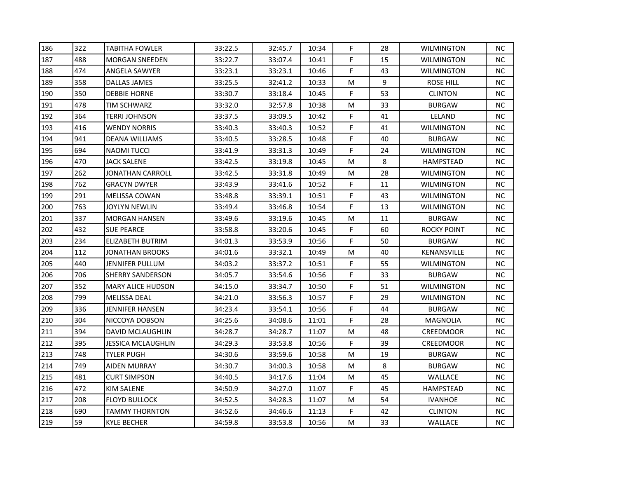| 186 | 322 | <b>TABITHA FOWLER</b>     | 33:22.5 | 32:45.7 | 10:34 | F           | 28 | WILMINGTON        | NC. |
|-----|-----|---------------------------|---------|---------|-------|-------------|----|-------------------|-----|
| 187 | 488 | <b>MORGAN SNEEDEN</b>     | 33:22.7 | 33:07.4 | 10:41 | F           | 15 | <b>WILMINGTON</b> | NC. |
| 188 | 474 | ANGELA SAWYER             | 33:23.1 | 33:23.1 | 10:46 | F           | 43 | <b>WILMINGTON</b> | NC. |
| 189 | 358 | DALLAS JAMES              | 33:25.5 | 32:41.2 | 10:33 | M           | 9  | ROSE HILL         | NC. |
| 190 | 350 | <b>DEBBIE HORNE</b>       | 33:30.7 | 33:18.4 | 10:45 | F           | 53 | <b>CLINTON</b>    | NC. |
| 191 | 478 | <b>TIM SCHWARZ</b>        | 33:32.0 | 32:57.8 | 10:38 | М           | 33 | <b>BURGAW</b>     | NC. |
| 192 | 364 | <b>TERRI JOHNSON</b>      | 33:37.5 | 33:09.5 | 10:42 | F           | 41 | LELAND            | NC. |
| 193 | 416 | <b>WENDY NORRIS</b>       | 33:40.3 | 33:40.3 | 10:52 | $\mathsf F$ | 41 | WILMINGTON        | NC. |
| 194 | 941 | <b>DEANA WILLIAMS</b>     | 33:40.5 | 33:28.5 | 10:48 | F           | 40 | <b>BURGAW</b>     | NC. |
| 195 | 694 | <b>NAOMI TUCCI</b>        | 33:41.9 | 33:31.3 | 10:49 | F           | 24 | WILMINGTON        | NC. |
| 196 | 470 | <b>JACK SALENE</b>        | 33:42.5 | 33:19.8 | 10:45 | М           | 8  | HAMPSTEAD         | NC. |
| 197 | 262 | <b>JONATHAN CARROLL</b>   | 33:42.5 | 33:31.8 | 10:49 | M           | 28 | WILMINGTON        | NC. |
| 198 | 762 | <b>GRACYN DWYER</b>       | 33:43.9 | 33:41.6 | 10:52 | F.          | 11 | WILMINGTON        | NC. |
| 199 | 291 | <b>MELISSA COWAN</b>      | 33:48.8 | 33:39.1 | 10:51 | F           | 43 | WILMINGTON        | NC. |
| 200 | 763 | <b>JOYLYN NEWLIN</b>      | 33:49.4 | 33:46.8 | 10:54 | F           | 13 | <b>WILMINGTON</b> | NC. |
| 201 | 337 | <b>MORGAN HANSEN</b>      | 33:49.6 | 33:19.6 | 10:45 | М           | 11 | <b>BURGAW</b>     | NC. |
| 202 | 432 | <b>SUE PEARCE</b>         | 33:58.8 | 33:20.6 | 10:45 | F           | 60 | ROCKY POINT       | NC. |
| 203 | 234 | ELIZABETH BUTRIM          | 34:01.3 | 33:53.9 | 10:56 | F           | 50 | <b>BURGAW</b>     | NC  |
| 204 | 112 | JONATHAN BROOKS           | 34:01.6 | 33:32.1 | 10:49 | М           | 40 | KENANSVILLE       | NC. |
| 205 | 440 | JENNIFER PULLUM           | 34:03.2 | 33:37.2 | 10:51 | F           | 55 | <b>WILMINGTON</b> | NC. |
| 206 | 706 | <b>SHERRY SANDERSON</b>   | 34:05.7 | 33:54.6 | 10:56 | F           | 33 | <b>BURGAW</b>     | NC. |
| 207 | 352 | <b>MARY ALICE HUDSON</b>  | 34:15.0 | 33:34.7 | 10:50 | F           | 51 | WILMINGTON        | NC. |
| 208 | 799 | <b>MELISSA DEAL</b>       | 34:21.0 | 33:56.3 | 10:57 | F           | 29 | <b>WILMINGTON</b> | NC. |
| 209 | 336 | JENNIFER HANSEN           | 34:23.4 | 33:54.1 | 10:56 | F           | 44 | <b>BURGAW</b>     | NC. |
| 210 | 304 | NICCOYA DOBSON            | 34:25.6 | 34:08.6 | 11:01 | F           | 28 | MAGNOLIA          | NC. |
| 211 | 394 | DAVID MCLAUGHLIN          | 34:28.7 | 34:28.7 | 11:07 | М           | 48 | <b>CREEDMOOR</b>  | NC. |
| 212 | 395 | <b>JESSICA MCLAUGHLIN</b> | 34:29.3 | 33:53.8 | 10:56 | F           | 39 | <b>CREEDMOOR</b>  | NC. |
| 213 | 748 | <b>TYLER PUGH</b>         | 34:30.6 | 33:59.6 | 10:58 | M           | 19 | <b>BURGAW</b>     | NC. |
| 214 | 749 | <b>AIDEN MURRAY</b>       | 34:30.7 | 34:00.3 | 10:58 | M           | 8  | <b>BURGAW</b>     | NC. |
| 215 | 481 | <b>CURT SIMPSON</b>       | 34:40.5 | 34:17.6 | 11:04 | M           | 45 | WALLACE           | NC. |
| 216 | 472 | KIM SALENE                | 34:50.9 | 34:27.0 | 11:07 | F           | 45 | HAMPSTEAD         | NC. |
| 217 | 208 | <b>FLOYD BULLOCK</b>      | 34:52.5 | 34:28.3 | 11:07 | M           | 54 | <b>IVANHOE</b>    | NC. |
| 218 | 690 | <b>TAMMY THORNTON</b>     | 34:52.6 | 34:46.6 | 11:13 | F           | 42 | <b>CLINTON</b>    | NC. |
| 219 | 59  | <b>KYLE BECHER</b>        | 34:59.8 | 33:53.8 | 10:56 | М           | 33 | WALLACE           | NC. |
|     |     |                           |         |         |       |             |    |                   |     |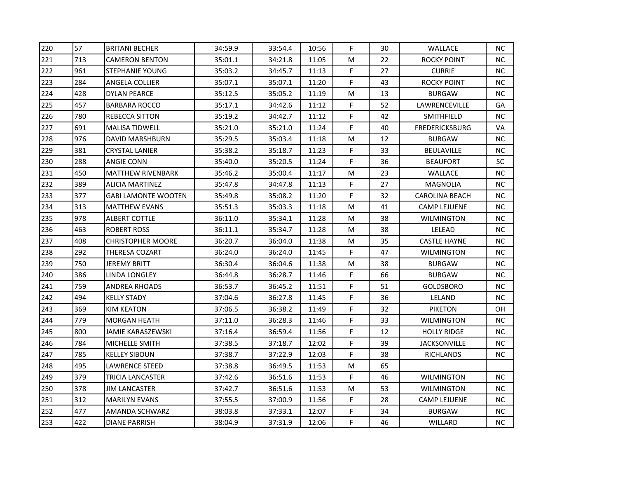| 220 | 57  | <b>BRITANI BECHER</b>      | 34:59.9 | 33:54.4 | 10:56 | F  | 30 | <b>WALLACE</b>        | NC.       |
|-----|-----|----------------------------|---------|---------|-------|----|----|-----------------------|-----------|
| 221 | 713 | <b>CAMERON BENTON</b>      | 35:01.1 | 34:21.8 | 11:05 | M  | 22 | <b>ROCKY POINT</b>    | NC.       |
| 222 | 961 | <b>STEPHANIE YOUNG</b>     | 35:03.2 | 34:45.7 | 11:13 | F. | 27 | <b>CURRIE</b>         | NC.       |
| 223 | 284 | ANGELA COLLIER             | 35:07.1 | 35:07.1 | 11:20 | F  | 43 | <b>ROCKY POINT</b>    | NC.       |
| 224 | 428 | DYLAN PEARCE               | 35:12.5 | 35:05.2 | 11:19 | M  | 13 | <b>BURGAW</b>         | NC.       |
| 225 | 457 | <b>BARBARA ROCCO</b>       | 35:17.1 | 34:42.6 | 11:12 | F  | 52 | LAWRENCEVILLE         | GA        |
| 226 | 780 | <b>REBECCA SITTON</b>      | 35:19.2 | 34:42.7 | 11:12 | F  | 42 | SMITHFIELD            | NC.       |
| 227 | 691 | <b>MALISA TIDWELL</b>      | 35:21.0 | 35:21.0 | 11:24 | F  | 40 | <b>FREDERICKSBURG</b> | VA        |
| 228 | 976 | <b>DAVID MARSHBURN</b>     | 35:29.5 | 35:03.4 | 11:18 | M  | 12 | <b>BURGAW</b>         | NC.       |
| 229 | 381 | <b>CRYSTAL LANIER</b>      | 35:38.2 | 35:18.7 | 11:23 | F  | 33 | BEULAVILLE            | NC.       |
| 230 | 288 | ANGIE CONN                 | 35:40.0 | 35:20.5 | 11:24 | F  | 36 | <b>BEAUFORT</b>       | SC        |
| 231 | 450 | <b>MATTHEW RIVENBARK</b>   | 35:46.2 | 35:00.4 | 11:17 | M  | 23 | <b>WALLACE</b>        | NC        |
| 232 | 389 | <b>ALICIA MARTINEZ</b>     | 35:47.8 | 34:47.8 | 11:13 | F  | 27 | MAGNOLIA              | NC.       |
| 233 | 377 | <b>GABI LAMONTE WOOTEN</b> | 35:49.8 | 35:08.2 | 11:20 | F  | 32 | <b>CAROLINA BEACH</b> | NC.       |
| 234 | 313 | <b>MATTHEW EVANS</b>       | 35:51.3 | 35:03.3 | 11:18 | M  | 41 | <b>CAMP LEJUENE</b>   | <b>NC</b> |
| 235 | 978 | ALBERT COTTLE              | 36:11.0 | 35:34.1 | 11:28 | M  | 38 | WILMINGTON            | NC.       |
| 236 | 463 | <b>ROBERT ROSS</b>         | 36:11.1 | 35:34.7 | 11:28 | M  | 38 | LELEAD                | NC        |
| 237 | 408 | <b>CHRISTOPHER MOORE</b>   | 36:20.7 | 36:04.0 | 11:38 | M  | 35 | <b>CASTLE HAYNE</b>   | NC        |
| 238 | 292 | THERESA COZART             | 36:24.0 | 36:24.0 | 11:45 | F  | 47 | <b>WILMINGTON</b>     | NC.       |
| 239 | 750 | JEREMY BRITT               | 36:30.4 | 36:04.6 | 11:38 | М  | 38 | <b>BURGAW</b>         | <b>NC</b> |
| 240 | 386 | LINDA LONGLEY              | 36:44.8 | 36:28.7 | 11:46 | F  | 66 | <b>BURGAW</b>         | NC.       |
| 241 | 759 | <b>ANDREA RHOADS</b>       | 36:53.7 | 36:45.2 | 11:51 | F  | 51 | <b>GOLDSBORO</b>      | NC.       |
| 242 | 494 | <b>KELLY STADY</b>         | 37:04.6 | 36:27.8 | 11:45 | F  | 36 | LELAND                | <b>NC</b> |
| 243 | 369 | KIM KEATON                 | 37:06.5 | 36:38.2 | 11:49 | F  | 32 | <b>PIKETON</b>        | OH        |
| 244 | 779 | <b>MORGAN HEATH</b>        | 37:11.0 | 36:28.3 | 11:46 | F  | 33 | <b>WILMINGTON</b>     | NC.       |
| 245 | 800 | JAMIE KARASZEWSKI          | 37:16.4 | 36:59.4 | 11:56 | F  | 12 | <b>HOLLY RIDGE</b>    | NC.       |
| 246 | 784 | MICHELLE SMITH             | 37:38.5 | 37:18.7 | 12:02 | F  | 39 | <b>JACKSONVILLE</b>   | NC.       |
| 247 | 785 | <b>KELLEY SIBOUN</b>       | 37:38.7 | 37:22.9 | 12:03 | F  | 38 | RICHLANDS             | NC.       |
| 248 | 495 | <b>LAWRENCE STEED</b>      | 37:38.8 | 36:49.5 | 11:53 | M  | 65 |                       |           |
| 249 | 379 | TRICIA LANCASTER           | 37:42.6 | 36:51.6 | 11:53 | F  | 46 | <b>WILMINGTON</b>     | NC.       |
| 250 | 378 | JIM LANCASTER              | 37:42.7 | 36:51.6 | 11:53 | M  | 53 | WILMINGTON            | NC.       |
| 251 | 312 | <b>MARILYN EVANS</b>       | 37:55.5 | 37:00.9 | 11:56 | F  | 28 | <b>CAMP LEJUENE</b>   | NC.       |
| 252 | 477 | AMANDA SCHWARZ             | 38:03.8 | 37:33.1 | 12:07 | F  | 34 | <b>BURGAW</b>         | NC        |
| 253 | 422 | <b>DIANE PARRISH</b>       | 38:04.9 | 37:31.9 | 12:06 | F. | 46 | WILLARD               | NC.       |
|     |     |                            |         |         |       |    |    |                       |           |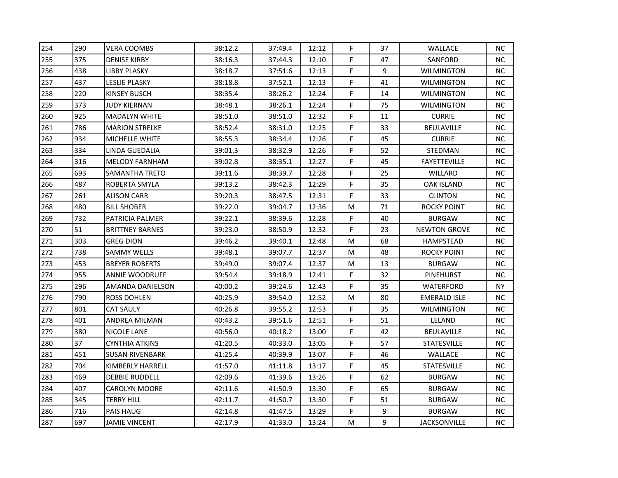| 254<br>290<br>F<br><b>VERA COOMBS</b><br>38:12.2<br>37:49.4<br>12:12<br>37<br><b>WALLACE</b><br>255<br>375<br>F.<br><b>DENISE KIRBY</b><br>38:16.3<br>37:44.3<br>12:10<br>47<br>SANFORD<br>F.<br>256<br>438<br>9<br><b>LIBBY PLASKY</b><br>38:18.7<br>37:51.6<br>12:13<br>F<br>257<br>437<br>12:13<br>41<br><b>LESLIE PLASKY</b><br>38:18.8<br>37:52.1<br>F<br>258<br>220<br>38:26.2<br>12:24<br>14<br>KINSEY BUSCH<br>38:35.4<br>259<br>373<br>F<br><b>JUDY KIERNAN</b><br>38:48.1<br>38:26.1<br>12:24<br>75<br>F<br>925<br>260<br><b>MADALYN WHITE</b><br>38:51.0<br>38:51.0<br>12:32<br>11<br><b>CURRIE</b><br>F<br>786<br>261<br>38:52.4<br>38:31.0<br>33<br>BEULAVILLE<br><b>MARION STRELKE</b><br>12:25<br>F<br>262<br>934<br>38:34.4<br>12:26<br>45<br><b>CURRIE</b><br>MICHELLE WHITE<br>38:55.3<br>334<br>F<br>263<br>39:01.3<br>38:32.9<br>12:26<br>52<br>STEDMAN<br>LINDA GUEDALIA<br>F<br>264<br>316<br>39:02.8<br>38:35.1<br>12:27<br>45<br><b>MELODY FARNHAM</b><br>F<br>265<br>693<br>38:39.7<br>25<br><b>SAMANTHA TRETO</b><br>39:11.6<br>12:28<br>WILLARD<br>F<br>266<br>487<br>35<br>39:13.2<br>38:42.3<br>12:29<br><b>OAK ISLAND</b><br><b>ROBERTA SMYLA</b><br>267<br>F<br>261<br>12:31<br>33<br>39:20.3<br>38:47.5<br><b>CLINTON</b><br>ALISON CARR<br>268<br>480<br><b>BILL SHOBER</b><br>39:22.0<br>39:04.7<br>12:36<br>M<br>71<br>F<br>269<br>732<br>PATRICIA PALMER<br>39:22.1<br>38:39.6<br>12:28<br>40<br><b>BURGAW</b><br>51<br>F<br>270<br>38:50.9<br><b>BRITTNEY BARNES</b><br>39:23.0<br>12:32<br>23<br>303<br>271<br><b>GREG DION</b><br>39:40.1<br>M<br>68<br>39:46.2<br>12:48<br>HAMPSTEAD<br>272<br>738<br><b>SAMMY WELLS</b><br>39:48.1<br>39:07.7<br>12:37<br>M<br>48<br>453<br>273<br>13<br><b>BREYER ROBERTS</b><br>39:49.0<br>39:07.4<br>12:37<br>M<br><b>BURGAW</b><br>274<br>955<br>F<br>39:54.4<br>39:18.9<br>32<br><b>ANNIE WOODRUFF</b><br>12:41<br>PINEHURST<br>275<br>296<br>F<br><b>AMANDA DANIELSON</b><br>40:00.2<br>39:24.6<br>12:43<br>35<br>276<br>790<br><b>ROSS DOHLEN</b><br>40:25.9<br>39:54.0<br>80<br>12:52<br>M<br>F<br>277<br>801<br><b>CAT SAULY</b><br>40:26.8<br>39:55.2<br>12:53<br>35<br>278<br>F.<br>401<br>39:51.6<br>12:51<br>51<br><b>ANDREA MILMAN</b><br>40:43.2<br>LELAND<br>F<br>279<br>380<br>NICOLE LANE<br>40:56.0<br>40:18.2<br>13:00<br>42<br><b>BEULAVILLE</b><br>37<br>F<br>280<br>41:20.5<br>40:33.0<br>13:05<br>57<br>STATESVILLE<br><b>CYNTHIA ATKINS</b><br>451<br>F<br>281<br><b>SUSAN RIVENBARK</b><br>41:25.4<br>40:39.9<br>13:07<br>46<br>WALLACE<br>F.<br>282<br>704<br><b>KIMBERLY HARRELL</b><br>41:57.0<br>41:11.8<br>13:17<br>45<br><b>STATESVILLE</b><br>F<br>283<br>469<br>62<br>42:09.6<br>41:39.6<br>13:26<br><b>BURGAW</b><br><b>DEBBIE RUDDELL</b><br>F<br>284<br>407<br>42:11.6<br>41:50.9<br>13:30<br>65<br><b>BURGAW</b><br><b>CAROLYN MOORE</b><br>285<br>345<br>41:50.7<br>F<br><b>TERRY HILL</b><br>42:11.7<br>13:30<br>51<br><b>BURGAW</b><br>F<br>286<br>716<br>9<br><b>PAIS HAUG</b><br>42:14.8<br>41:47.5<br>13:29<br><b>BURGAW</b><br>287<br>9<br>697<br><b>JAMIE VINCENT</b><br>М<br>42:17.9<br>41:33.0<br>13:24 |  |  |  |  |                     |           |
|----------------------------------------------------------------------------------------------------------------------------------------------------------------------------------------------------------------------------------------------------------------------------------------------------------------------------------------------------------------------------------------------------------------------------------------------------------------------------------------------------------------------------------------------------------------------------------------------------------------------------------------------------------------------------------------------------------------------------------------------------------------------------------------------------------------------------------------------------------------------------------------------------------------------------------------------------------------------------------------------------------------------------------------------------------------------------------------------------------------------------------------------------------------------------------------------------------------------------------------------------------------------------------------------------------------------------------------------------------------------------------------------------------------------------------------------------------------------------------------------------------------------------------------------------------------------------------------------------------------------------------------------------------------------------------------------------------------------------------------------------------------------------------------------------------------------------------------------------------------------------------------------------------------------------------------------------------------------------------------------------------------------------------------------------------------------------------------------------------------------------------------------------------------------------------------------------------------------------------------------------------------------------------------------------------------------------------------------------------------------------------------------------------------------------------------------------------------------------------------------------------------------------------------------------------------------------------------------------------------------------------------------------------------------------------------------------------------------------------------------------------------------------------------------------------------------------------------------------------------------------------------------------------------------------------------------------------------------------------------------------------------------------------------------------------------------------------------------------------------------------------|--|--|--|--|---------------------|-----------|
|                                                                                                                                                                                                                                                                                                                                                                                                                                                                                                                                                                                                                                                                                                                                                                                                                                                                                                                                                                                                                                                                                                                                                                                                                                                                                                                                                                                                                                                                                                                                                                                                                                                                                                                                                                                                                                                                                                                                                                                                                                                                                                                                                                                                                                                                                                                                                                                                                                                                                                                                                                                                                                                                                                                                                                                                                                                                                                                                                                                                                                                                                                                                  |  |  |  |  |                     | NC.       |
|                                                                                                                                                                                                                                                                                                                                                                                                                                                                                                                                                                                                                                                                                                                                                                                                                                                                                                                                                                                                                                                                                                                                                                                                                                                                                                                                                                                                                                                                                                                                                                                                                                                                                                                                                                                                                                                                                                                                                                                                                                                                                                                                                                                                                                                                                                                                                                                                                                                                                                                                                                                                                                                                                                                                                                                                                                                                                                                                                                                                                                                                                                                                  |  |  |  |  |                     | NC.       |
|                                                                                                                                                                                                                                                                                                                                                                                                                                                                                                                                                                                                                                                                                                                                                                                                                                                                                                                                                                                                                                                                                                                                                                                                                                                                                                                                                                                                                                                                                                                                                                                                                                                                                                                                                                                                                                                                                                                                                                                                                                                                                                                                                                                                                                                                                                                                                                                                                                                                                                                                                                                                                                                                                                                                                                                                                                                                                                                                                                                                                                                                                                                                  |  |  |  |  | <b>WILMINGTON</b>   | NC.       |
|                                                                                                                                                                                                                                                                                                                                                                                                                                                                                                                                                                                                                                                                                                                                                                                                                                                                                                                                                                                                                                                                                                                                                                                                                                                                                                                                                                                                                                                                                                                                                                                                                                                                                                                                                                                                                                                                                                                                                                                                                                                                                                                                                                                                                                                                                                                                                                                                                                                                                                                                                                                                                                                                                                                                                                                                                                                                                                                                                                                                                                                                                                                                  |  |  |  |  | <b>WILMINGTON</b>   | NC.       |
|                                                                                                                                                                                                                                                                                                                                                                                                                                                                                                                                                                                                                                                                                                                                                                                                                                                                                                                                                                                                                                                                                                                                                                                                                                                                                                                                                                                                                                                                                                                                                                                                                                                                                                                                                                                                                                                                                                                                                                                                                                                                                                                                                                                                                                                                                                                                                                                                                                                                                                                                                                                                                                                                                                                                                                                                                                                                                                                                                                                                                                                                                                                                  |  |  |  |  | WILMINGTON          | NC.       |
|                                                                                                                                                                                                                                                                                                                                                                                                                                                                                                                                                                                                                                                                                                                                                                                                                                                                                                                                                                                                                                                                                                                                                                                                                                                                                                                                                                                                                                                                                                                                                                                                                                                                                                                                                                                                                                                                                                                                                                                                                                                                                                                                                                                                                                                                                                                                                                                                                                                                                                                                                                                                                                                                                                                                                                                                                                                                                                                                                                                                                                                                                                                                  |  |  |  |  | <b>WILMINGTON</b>   | NC.       |
|                                                                                                                                                                                                                                                                                                                                                                                                                                                                                                                                                                                                                                                                                                                                                                                                                                                                                                                                                                                                                                                                                                                                                                                                                                                                                                                                                                                                                                                                                                                                                                                                                                                                                                                                                                                                                                                                                                                                                                                                                                                                                                                                                                                                                                                                                                                                                                                                                                                                                                                                                                                                                                                                                                                                                                                                                                                                                                                                                                                                                                                                                                                                  |  |  |  |  |                     | NC.       |
|                                                                                                                                                                                                                                                                                                                                                                                                                                                                                                                                                                                                                                                                                                                                                                                                                                                                                                                                                                                                                                                                                                                                                                                                                                                                                                                                                                                                                                                                                                                                                                                                                                                                                                                                                                                                                                                                                                                                                                                                                                                                                                                                                                                                                                                                                                                                                                                                                                                                                                                                                                                                                                                                                                                                                                                                                                                                                                                                                                                                                                                                                                                                  |  |  |  |  |                     | NC.       |
|                                                                                                                                                                                                                                                                                                                                                                                                                                                                                                                                                                                                                                                                                                                                                                                                                                                                                                                                                                                                                                                                                                                                                                                                                                                                                                                                                                                                                                                                                                                                                                                                                                                                                                                                                                                                                                                                                                                                                                                                                                                                                                                                                                                                                                                                                                                                                                                                                                                                                                                                                                                                                                                                                                                                                                                                                                                                                                                                                                                                                                                                                                                                  |  |  |  |  |                     | NC        |
|                                                                                                                                                                                                                                                                                                                                                                                                                                                                                                                                                                                                                                                                                                                                                                                                                                                                                                                                                                                                                                                                                                                                                                                                                                                                                                                                                                                                                                                                                                                                                                                                                                                                                                                                                                                                                                                                                                                                                                                                                                                                                                                                                                                                                                                                                                                                                                                                                                                                                                                                                                                                                                                                                                                                                                                                                                                                                                                                                                                                                                                                                                                                  |  |  |  |  |                     | NC.       |
|                                                                                                                                                                                                                                                                                                                                                                                                                                                                                                                                                                                                                                                                                                                                                                                                                                                                                                                                                                                                                                                                                                                                                                                                                                                                                                                                                                                                                                                                                                                                                                                                                                                                                                                                                                                                                                                                                                                                                                                                                                                                                                                                                                                                                                                                                                                                                                                                                                                                                                                                                                                                                                                                                                                                                                                                                                                                                                                                                                                                                                                                                                                                  |  |  |  |  | <b>FAYETTEVILLE</b> | NC.       |
|                                                                                                                                                                                                                                                                                                                                                                                                                                                                                                                                                                                                                                                                                                                                                                                                                                                                                                                                                                                                                                                                                                                                                                                                                                                                                                                                                                                                                                                                                                                                                                                                                                                                                                                                                                                                                                                                                                                                                                                                                                                                                                                                                                                                                                                                                                                                                                                                                                                                                                                                                                                                                                                                                                                                                                                                                                                                                                                                                                                                                                                                                                                                  |  |  |  |  |                     | NC.       |
|                                                                                                                                                                                                                                                                                                                                                                                                                                                                                                                                                                                                                                                                                                                                                                                                                                                                                                                                                                                                                                                                                                                                                                                                                                                                                                                                                                                                                                                                                                                                                                                                                                                                                                                                                                                                                                                                                                                                                                                                                                                                                                                                                                                                                                                                                                                                                                                                                                                                                                                                                                                                                                                                                                                                                                                                                                                                                                                                                                                                                                                                                                                                  |  |  |  |  |                     | NC.       |
|                                                                                                                                                                                                                                                                                                                                                                                                                                                                                                                                                                                                                                                                                                                                                                                                                                                                                                                                                                                                                                                                                                                                                                                                                                                                                                                                                                                                                                                                                                                                                                                                                                                                                                                                                                                                                                                                                                                                                                                                                                                                                                                                                                                                                                                                                                                                                                                                                                                                                                                                                                                                                                                                                                                                                                                                                                                                                                                                                                                                                                                                                                                                  |  |  |  |  |                     | NC.       |
|                                                                                                                                                                                                                                                                                                                                                                                                                                                                                                                                                                                                                                                                                                                                                                                                                                                                                                                                                                                                                                                                                                                                                                                                                                                                                                                                                                                                                                                                                                                                                                                                                                                                                                                                                                                                                                                                                                                                                                                                                                                                                                                                                                                                                                                                                                                                                                                                                                                                                                                                                                                                                                                                                                                                                                                                                                                                                                                                                                                                                                                                                                                                  |  |  |  |  | <b>ROCKY POINT</b>  | NC.       |
|                                                                                                                                                                                                                                                                                                                                                                                                                                                                                                                                                                                                                                                                                                                                                                                                                                                                                                                                                                                                                                                                                                                                                                                                                                                                                                                                                                                                                                                                                                                                                                                                                                                                                                                                                                                                                                                                                                                                                                                                                                                                                                                                                                                                                                                                                                                                                                                                                                                                                                                                                                                                                                                                                                                                                                                                                                                                                                                                                                                                                                                                                                                                  |  |  |  |  |                     | NC.       |
|                                                                                                                                                                                                                                                                                                                                                                                                                                                                                                                                                                                                                                                                                                                                                                                                                                                                                                                                                                                                                                                                                                                                                                                                                                                                                                                                                                                                                                                                                                                                                                                                                                                                                                                                                                                                                                                                                                                                                                                                                                                                                                                                                                                                                                                                                                                                                                                                                                                                                                                                                                                                                                                                                                                                                                                                                                                                                                                                                                                                                                                                                                                                  |  |  |  |  | <b>NEWTON GROVE</b> | NC.       |
|                                                                                                                                                                                                                                                                                                                                                                                                                                                                                                                                                                                                                                                                                                                                                                                                                                                                                                                                                                                                                                                                                                                                                                                                                                                                                                                                                                                                                                                                                                                                                                                                                                                                                                                                                                                                                                                                                                                                                                                                                                                                                                                                                                                                                                                                                                                                                                                                                                                                                                                                                                                                                                                                                                                                                                                                                                                                                                                                                                                                                                                                                                                                  |  |  |  |  |                     | NC        |
|                                                                                                                                                                                                                                                                                                                                                                                                                                                                                                                                                                                                                                                                                                                                                                                                                                                                                                                                                                                                                                                                                                                                                                                                                                                                                                                                                                                                                                                                                                                                                                                                                                                                                                                                                                                                                                                                                                                                                                                                                                                                                                                                                                                                                                                                                                                                                                                                                                                                                                                                                                                                                                                                                                                                                                                                                                                                                                                                                                                                                                                                                                                                  |  |  |  |  | ROCKY POINT         | NC.       |
|                                                                                                                                                                                                                                                                                                                                                                                                                                                                                                                                                                                                                                                                                                                                                                                                                                                                                                                                                                                                                                                                                                                                                                                                                                                                                                                                                                                                                                                                                                                                                                                                                                                                                                                                                                                                                                                                                                                                                                                                                                                                                                                                                                                                                                                                                                                                                                                                                                                                                                                                                                                                                                                                                                                                                                                                                                                                                                                                                                                                                                                                                                                                  |  |  |  |  |                     | <b>NC</b> |
|                                                                                                                                                                                                                                                                                                                                                                                                                                                                                                                                                                                                                                                                                                                                                                                                                                                                                                                                                                                                                                                                                                                                                                                                                                                                                                                                                                                                                                                                                                                                                                                                                                                                                                                                                                                                                                                                                                                                                                                                                                                                                                                                                                                                                                                                                                                                                                                                                                                                                                                                                                                                                                                                                                                                                                                                                                                                                                                                                                                                                                                                                                                                  |  |  |  |  |                     | NC.       |
|                                                                                                                                                                                                                                                                                                                                                                                                                                                                                                                                                                                                                                                                                                                                                                                                                                                                                                                                                                                                                                                                                                                                                                                                                                                                                                                                                                                                                                                                                                                                                                                                                                                                                                                                                                                                                                                                                                                                                                                                                                                                                                                                                                                                                                                                                                                                                                                                                                                                                                                                                                                                                                                                                                                                                                                                                                                                                                                                                                                                                                                                                                                                  |  |  |  |  | WATERFORD           | NY        |
|                                                                                                                                                                                                                                                                                                                                                                                                                                                                                                                                                                                                                                                                                                                                                                                                                                                                                                                                                                                                                                                                                                                                                                                                                                                                                                                                                                                                                                                                                                                                                                                                                                                                                                                                                                                                                                                                                                                                                                                                                                                                                                                                                                                                                                                                                                                                                                                                                                                                                                                                                                                                                                                                                                                                                                                                                                                                                                                                                                                                                                                                                                                                  |  |  |  |  | <b>EMERALD ISLE</b> | <b>NC</b> |
|                                                                                                                                                                                                                                                                                                                                                                                                                                                                                                                                                                                                                                                                                                                                                                                                                                                                                                                                                                                                                                                                                                                                                                                                                                                                                                                                                                                                                                                                                                                                                                                                                                                                                                                                                                                                                                                                                                                                                                                                                                                                                                                                                                                                                                                                                                                                                                                                                                                                                                                                                                                                                                                                                                                                                                                                                                                                                                                                                                                                                                                                                                                                  |  |  |  |  | <b>WILMINGTON</b>   | <b>NC</b> |
|                                                                                                                                                                                                                                                                                                                                                                                                                                                                                                                                                                                                                                                                                                                                                                                                                                                                                                                                                                                                                                                                                                                                                                                                                                                                                                                                                                                                                                                                                                                                                                                                                                                                                                                                                                                                                                                                                                                                                                                                                                                                                                                                                                                                                                                                                                                                                                                                                                                                                                                                                                                                                                                                                                                                                                                                                                                                                                                                                                                                                                                                                                                                  |  |  |  |  |                     | NC.       |
|                                                                                                                                                                                                                                                                                                                                                                                                                                                                                                                                                                                                                                                                                                                                                                                                                                                                                                                                                                                                                                                                                                                                                                                                                                                                                                                                                                                                                                                                                                                                                                                                                                                                                                                                                                                                                                                                                                                                                                                                                                                                                                                                                                                                                                                                                                                                                                                                                                                                                                                                                                                                                                                                                                                                                                                                                                                                                                                                                                                                                                                                                                                                  |  |  |  |  |                     | NC.       |
|                                                                                                                                                                                                                                                                                                                                                                                                                                                                                                                                                                                                                                                                                                                                                                                                                                                                                                                                                                                                                                                                                                                                                                                                                                                                                                                                                                                                                                                                                                                                                                                                                                                                                                                                                                                                                                                                                                                                                                                                                                                                                                                                                                                                                                                                                                                                                                                                                                                                                                                                                                                                                                                                                                                                                                                                                                                                                                                                                                                                                                                                                                                                  |  |  |  |  |                     | NC.       |
|                                                                                                                                                                                                                                                                                                                                                                                                                                                                                                                                                                                                                                                                                                                                                                                                                                                                                                                                                                                                                                                                                                                                                                                                                                                                                                                                                                                                                                                                                                                                                                                                                                                                                                                                                                                                                                                                                                                                                                                                                                                                                                                                                                                                                                                                                                                                                                                                                                                                                                                                                                                                                                                                                                                                                                                                                                                                                                                                                                                                                                                                                                                                  |  |  |  |  |                     | NC.       |
|                                                                                                                                                                                                                                                                                                                                                                                                                                                                                                                                                                                                                                                                                                                                                                                                                                                                                                                                                                                                                                                                                                                                                                                                                                                                                                                                                                                                                                                                                                                                                                                                                                                                                                                                                                                                                                                                                                                                                                                                                                                                                                                                                                                                                                                                                                                                                                                                                                                                                                                                                                                                                                                                                                                                                                                                                                                                                                                                                                                                                                                                                                                                  |  |  |  |  |                     | NC.       |
|                                                                                                                                                                                                                                                                                                                                                                                                                                                                                                                                                                                                                                                                                                                                                                                                                                                                                                                                                                                                                                                                                                                                                                                                                                                                                                                                                                                                                                                                                                                                                                                                                                                                                                                                                                                                                                                                                                                                                                                                                                                                                                                                                                                                                                                                                                                                                                                                                                                                                                                                                                                                                                                                                                                                                                                                                                                                                                                                                                                                                                                                                                                                  |  |  |  |  |                     | NC.       |
|                                                                                                                                                                                                                                                                                                                                                                                                                                                                                                                                                                                                                                                                                                                                                                                                                                                                                                                                                                                                                                                                                                                                                                                                                                                                                                                                                                                                                                                                                                                                                                                                                                                                                                                                                                                                                                                                                                                                                                                                                                                                                                                                                                                                                                                                                                                                                                                                                                                                                                                                                                                                                                                                                                                                                                                                                                                                                                                                                                                                                                                                                                                                  |  |  |  |  |                     | NC.       |
|                                                                                                                                                                                                                                                                                                                                                                                                                                                                                                                                                                                                                                                                                                                                                                                                                                                                                                                                                                                                                                                                                                                                                                                                                                                                                                                                                                                                                                                                                                                                                                                                                                                                                                                                                                                                                                                                                                                                                                                                                                                                                                                                                                                                                                                                                                                                                                                                                                                                                                                                                                                                                                                                                                                                                                                                                                                                                                                                                                                                                                                                                                                                  |  |  |  |  |                     | NC.       |
|                                                                                                                                                                                                                                                                                                                                                                                                                                                                                                                                                                                                                                                                                                                                                                                                                                                                                                                                                                                                                                                                                                                                                                                                                                                                                                                                                                                                                                                                                                                                                                                                                                                                                                                                                                                                                                                                                                                                                                                                                                                                                                                                                                                                                                                                                                                                                                                                                                                                                                                                                                                                                                                                                                                                                                                                                                                                                                                                                                                                                                                                                                                                  |  |  |  |  |                     | NC        |
|                                                                                                                                                                                                                                                                                                                                                                                                                                                                                                                                                                                                                                                                                                                                                                                                                                                                                                                                                                                                                                                                                                                                                                                                                                                                                                                                                                                                                                                                                                                                                                                                                                                                                                                                                                                                                                                                                                                                                                                                                                                                                                                                                                                                                                                                                                                                                                                                                                                                                                                                                                                                                                                                                                                                                                                                                                                                                                                                                                                                                                                                                                                                  |  |  |  |  | <b>JACKSONVILLE</b> | NC.       |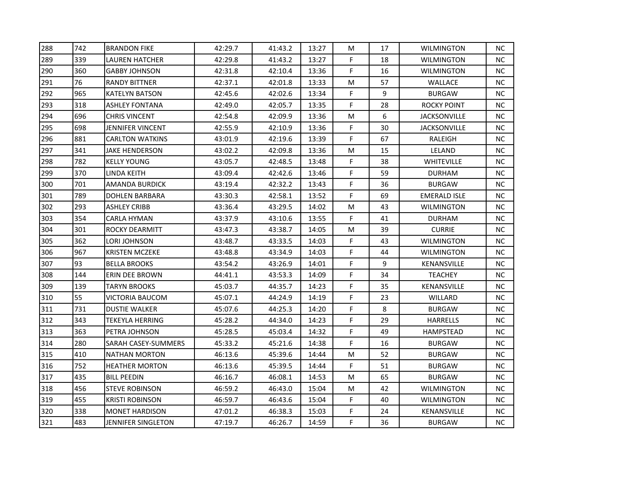| 288 | 742 | <b>BRANDON FIKE</b>       | 42:29.7 | 41:43.2 | 13:27 | M  | 17 | <b>WILMINGTON</b>   | <b>NC</b> |
|-----|-----|---------------------------|---------|---------|-------|----|----|---------------------|-----------|
| 289 | 339 | <b>LAUREN HATCHER</b>     | 42:29.8 | 41:43.2 | 13:27 | F. | 18 | <b>WILMINGTON</b>   | NC.       |
| 290 | 360 | GABBY JOHNSON             | 42:31.8 | 42:10.4 | 13:36 | F. | 16 | WILMINGTON          | <b>NC</b> |
| 291 | 76  | <b>RANDY BITTNER</b>      | 42:37.1 | 42:01.8 | 13:33 | M  | 57 | WALLACE             | NC.       |
| 292 | 965 | <b>KATELYN BATSON</b>     | 42:45.6 | 42:02.6 | 13:34 | F  | 9  | <b>BURGAW</b>       | NC.       |
| 293 | 318 | <b>ASHLEY FONTANA</b>     | 42:49.0 | 42:05.7 | 13:35 | F  | 28 | <b>ROCKY POINT</b>  | NC.       |
| 294 | 696 | <b>CHRIS VINCENT</b>      | 42:54.8 | 42:09.9 | 13:36 | M  | 6  | <b>JACKSONVILLE</b> | NC.       |
| 295 | 698 | JENNIFER VINCENT          | 42:55.9 | 42:10.9 | 13:36 | F  | 30 | <b>JACKSONVILLE</b> | NC.       |
| 296 | 881 | <b>CARLTON WATKINS</b>    | 43:01.9 | 42:19.6 | 13:39 | F  | 67 | RALEIGH             | NC        |
| 297 | 341 | JAKE HENDERSON            | 43:02.2 | 42:09.8 | 13:36 | M  | 15 | LELAND              | NC.       |
| 298 | 782 | <b>KELLY YOUNG</b>        | 43:05.7 | 42:48.5 | 13:48 | F. | 38 | WHITEVILLE          | NC.       |
| 299 | 370 | <b>LINDA KEITH</b>        | 43:09.4 | 42:42.6 | 13:46 | F  | 59 | <b>DURHAM</b>       | NC.       |
| 300 | 701 | <b>AMANDA BURDICK</b>     | 43:19.4 | 42:32.2 | 13:43 | F  | 36 | <b>BURGAW</b>       | NC.       |
| 301 | 789 | <b>DOHLEN BARBARA</b>     | 43:30.3 | 42:58.1 | 13:52 | F  | 69 | <b>EMERALD ISLE</b> | NC.       |
| 302 | 293 | <b>ASHLEY CRIBB</b>       | 43:36.4 | 43:29.5 | 14:02 | M  | 43 | <b>WILMINGTON</b>   | NC.       |
| 303 | 354 | CARLA HYMAN               | 43:37.9 | 43:10.6 | 13:55 | F  | 41 | <b>DURHAM</b>       | NC.       |
| 304 | 301 | ROCKY DEARMITT            | 43:47.3 | 43:38.7 | 14:05 | M  | 39 | <b>CURRIE</b>       | NC        |
| 305 | 362 | LORI JOHNSON              | 43:48.7 | 43:33.5 | 14:03 | F  | 43 | <b>WILMINGTON</b>   | NC        |
| 306 | 967 | <b>KRISTEN MCZEKE</b>     | 43:48.8 | 43:34.9 | 14:03 | F  | 44 | <b>WILMINGTON</b>   | <b>NC</b> |
| 307 | 93  | <b>BELLA BROOKS</b>       | 43:54.2 | 43:26.9 | 14:01 | F  | 9  | KENANSVILLE         | NC.       |
| 308 | 144 | ERIN DEE BROWN            | 44:41.1 | 43:53.3 | 14:09 | F  | 34 | <b>TEACHEY</b>      | NC.       |
| 309 | 139 | <b>TARYN BROOKS</b>       | 45:03.7 | 44:35.7 | 14:23 | F  | 35 | KENANSVILLE         | NC.       |
| 310 | 55  | <b>VICTORIA BAUCOM</b>    | 45:07.1 | 44:24.9 | 14:19 | F. | 23 | WILLARD             | NC        |
| 311 | 731 | <b>DUSTIE WALKER</b>      | 45:07.6 | 44:25.3 | 14:20 | F  | 8  | <b>BURGAW</b>       | <b>NC</b> |
| 312 | 343 | <b>TEKEYLA HERRING</b>    | 45:28.2 | 44:34.0 | 14:23 | F. | 29 | <b>HARRELLS</b>     | NC.       |
| 313 | 363 | PETRA JOHNSON             | 45:28.5 | 45:03.4 | 14:32 | F  | 49 | HAMPSTEAD           | NC.       |
| 314 | 280 | SARAH CASEY-SUMMERS       | 45:33.2 | 45:21.6 | 14:38 | F  | 16 | <b>BURGAW</b>       | NC.       |
| 315 | 410 | <b>NATHAN MORTON</b>      | 46:13.6 | 45:39.6 | 14:44 | M  | 52 | <b>BURGAW</b>       | NC.       |
| 316 | 752 | HEATHER MORTON            | 46:13.6 | 45:39.5 | 14:44 | F  | 51 | <b>BURGAW</b>       | NC.       |
| 317 | 435 | <b>BILL PEEDIN</b>        | 46:16.7 | 46:08.1 | 14:53 | M  | 65 | <b>BURGAW</b>       | NC.       |
| 318 | 456 | <b>STEVE ROBINSON</b>     | 46:59.2 | 46:43.0 | 15:04 | M  | 42 | WILMINGTON          | NC.       |
| 319 | 455 | <b>KRISTI ROBINSON</b>    | 46:59.7 | 46:43.6 | 15:04 | F  | 40 | <b>WILMINGTON</b>   | NC.       |
| 320 | 338 | <b>MONET HARDISON</b>     | 47:01.2 | 46:38.3 | 15:03 | F  | 24 | KENANSVILLE         | NC.       |
| 321 | 483 | <b>JENNIFER SINGLETON</b> | 47:19.7 | 46:26.7 | 14:59 | F  | 36 | <b>BURGAW</b>       | NC.       |
|     |     |                           |         |         |       |    |    |                     |           |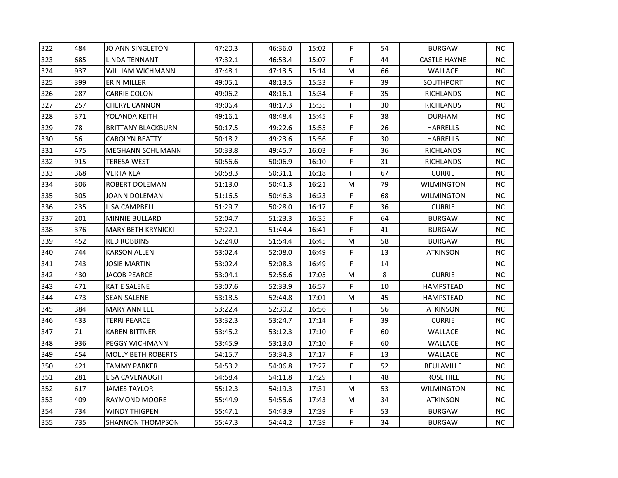| 322 | 484 | <b>JO ANN SINGLETON</b>   | 47:20.3 | 46:36.0 | 15:02 | F         | 54 | <b>BURGAW</b>       | <b>NC</b> |
|-----|-----|---------------------------|---------|---------|-------|-----------|----|---------------------|-----------|
| 323 | 685 | LINDA TENNANT             | 47:32.1 | 46:53.4 | 15:07 | F.        | 44 | <b>CASTLE HAYNE</b> | NC.       |
| 324 | 937 | WILLIAM WICHMANN          | 47:48.1 | 47:13.5 | 15:14 | M         | 66 | <b>WALLACE</b>      | <b>NC</b> |
| 325 | 399 | ERIN MILLER               | 49:05.1 | 48:13.5 | 15:33 | F         | 39 | SOUTHPORT           | NC.       |
| 326 | 287 | <b>CARRIE COLON</b>       | 49:06.2 | 48:16.1 | 15:34 | F         | 35 | RICHLANDS           | NC.       |
| 327 | 257 | <b>CHERYL CANNON</b>      | 49:06.4 | 48:17.3 | 15:35 | F         | 30 | <b>RICHLANDS</b>    | NC.       |
| 328 | 371 | YOLANDA KEITH             | 49:16.1 | 48:48.4 | 15:45 | F         | 38 | <b>DURHAM</b>       | NC.       |
| 329 | 78  | <b>BRITTANY BLACKBURN</b> | 50:17.5 | 49:22.6 | 15:55 | F         | 26 | <b>HARRELLS</b>     | NC.       |
| 330 | 56  | <b>CAROLYN BEATTY</b>     | 50:18.2 | 49:23.6 | 15:56 | F         | 30 | <b>HARRELLS</b>     | NC        |
| 331 | 475 | <b>MEGHANN SCHUMANN</b>   | 50:33.8 | 49:45.7 | 16:03 | F         | 36 | <b>RICHLANDS</b>    | NC.       |
| 332 | 915 | TERESA WEST               | 50:56.6 | 50:06.9 | 16:10 | F.        | 31 | RICHLANDS           | NC.       |
| 333 | 368 | <b>VERTA KEA</b>          | 50:58.3 | 50:31.1 | 16:18 | F         | 67 | <b>CURRIE</b>       | NC.       |
| 334 | 306 | <b>ROBERT DOLEMAN</b>     | 51:13.0 | 50:41.3 | 16:21 | M         | 79 | <b>WILMINGTON</b>   | NC.       |
| 335 | 305 | JOANN DOLEMAN             | 51:16.5 | 50:46.3 | 16:23 | F.        | 68 | <b>WILMINGTON</b>   | NC.       |
| 336 | 235 | LISA CAMPBELL             | 51:29.7 | 50:28.0 | 16:17 | F         | 36 | <b>CURRIE</b>       | NC.       |
| 337 | 201 | MINNIE BULLARD            | 52:04.7 | 51:23.3 | 16:35 | F         | 64 | <b>BURGAW</b>       | NC.       |
| 338 | 376 | <b>MARY BETH KRYNICKI</b> | 52:22.1 | 51:44.4 | 16:41 | F         | 41 | <b>BURGAW</b>       | NC.       |
| 339 | 452 | <b>RED ROBBINS</b>        | 52:24.0 | 51:54.4 | 16:45 | ${\sf M}$ | 58 | <b>BURGAW</b>       | NC        |
| 340 | 744 | <b>KARSON ALLEN</b>       | 53:02.4 | 52:08.0 | 16:49 | F         | 13 | <b>ATKINSON</b>     | <b>NC</b> |
| 341 | 743 | <b>JOSIE MARTIN</b>       | 53:02.4 | 52:08.3 | 16:49 | F         | 14 |                     | <b>NC</b> |
| 342 | 430 | <b>JACOB PEARCE</b>       | 53:04.1 | 52:56.6 | 17:05 | M         | 8  | <b>CURRIE</b>       | NC.       |
| 343 | 471 | <b>KATIE SALENE</b>       | 53:07.6 | 52:33.9 | 16:57 | F         | 10 | HAMPSTEAD           | NC.       |
| 344 | 473 | <b>SEAN SALENE</b>        | 53:18.5 | 52:44.8 | 17:01 | M         | 45 | <b>HAMPSTEAD</b>    | <b>NC</b> |
| 345 | 384 | <b>MARY ANN LEE</b>       | 53:22.4 | 52:30.2 | 16:56 | F         | 56 | <b>ATKINSON</b>     | <b>NC</b> |
| 346 | 433 | <b>TERRI PEARCE</b>       | 53:32.3 | 53:24.7 | 17:14 | F.        | 39 | <b>CURRIE</b>       | NC.       |
| 347 | 71  | <b>KAREN BITTNER</b>      | 53:45.2 | 53:12.3 | 17:10 | F         | 60 | WALLACE             | NC.       |
| 348 | 936 | PEGGY WICHMANN            | 53:45.9 | 53:13.0 | 17:10 | F         | 60 | <b>WALLACE</b>      | NC.       |
| 349 | 454 | <b>MOLLY BETH ROBERTS</b> | 54:15.7 | 53:34.3 | 17:17 | F         | 13 | WALLACE             | NC.       |
| 350 | 421 | <b>TAMMY PARKER</b>       | 54:53.2 | 54:06.8 | 17:27 | F.        | 52 | <b>BEULAVILLE</b>   | NC.       |
| 351 | 281 | LISA CAVENAUGH            | 54:58.4 | 54:11.8 | 17:29 | F         | 48 | ROSE HILL           | NC.       |
| 352 | 617 | <b>JAMES TAYLOR</b>       | 55:12.3 | 54:19.3 | 17:31 | M         | 53 | <b>WILMINGTON</b>   | NC.       |
| 353 | 409 | RAYMOND MOORE             | 55:44.9 | 54:55.6 | 17:43 | M         | 34 | <b>ATKINSON</b>     | NC.       |
| 354 | 734 | <b>WINDY THIGPEN</b>      | 55:47.1 | 54:43.9 | 17:39 | F         | 53 | <b>BURGAW</b>       | NC        |
| 355 | 735 | <b>SHANNON THOMPSON</b>   | 55:47.3 | 54:44.2 | 17:39 | F.        | 34 | <b>BURGAW</b>       | NC.       |
|     |     |                           |         |         |       |           |    |                     |           |